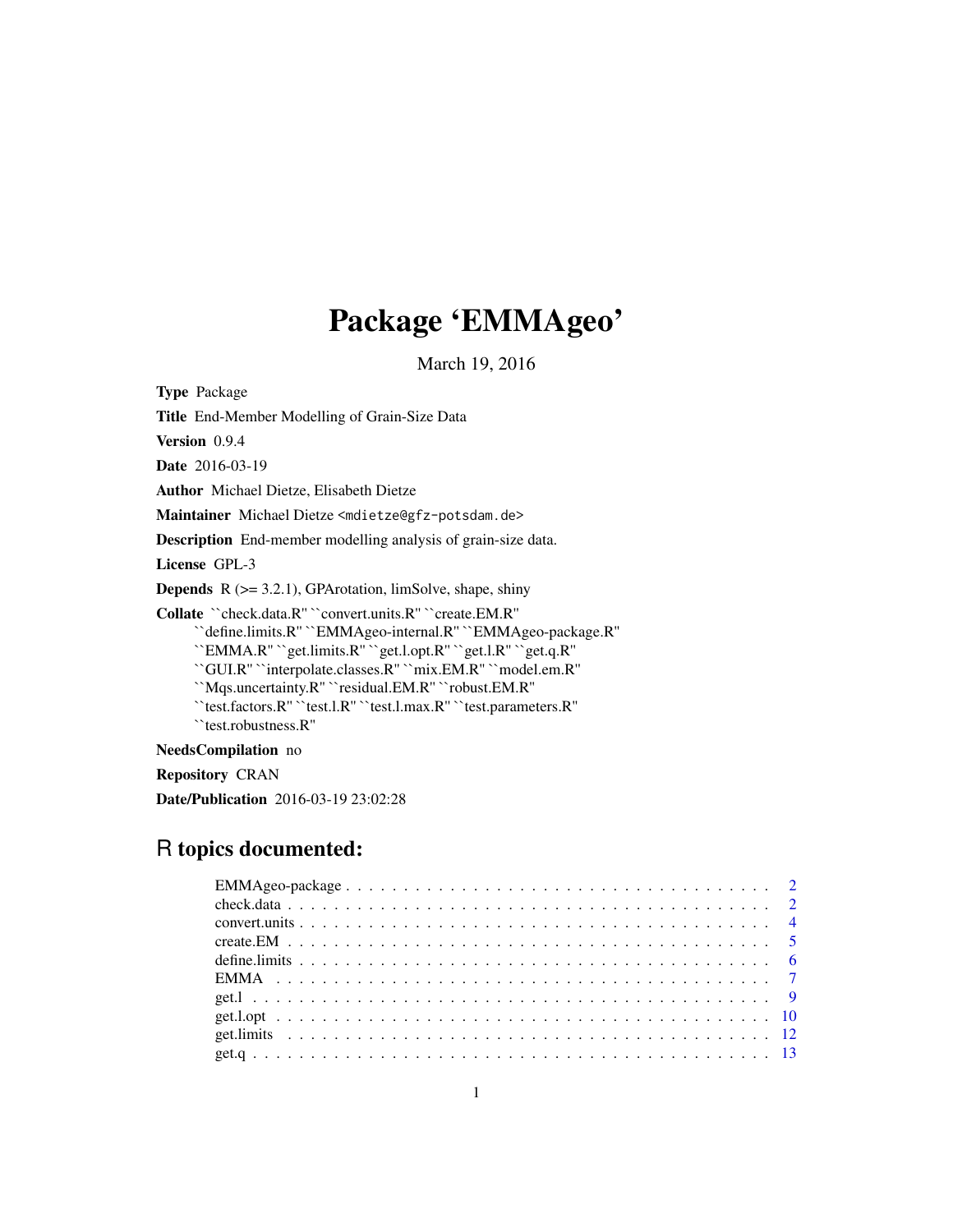# Package 'EMMAgeo'

March 19, 2016

<span id="page-0-0"></span>Type Package

Title End-Member Modelling of Grain-Size Data

Version 0.9.4

Date 2016-03-19

Author Michael Dietze, Elisabeth Dietze

Maintainer Michael Dietze <mdietze@gfz-potsdam.de>

Description End-member modelling analysis of grain-size data.

License GPL-3

**Depends**  $R$  ( $>= 3.2.1$ ), GPArotation, limSolve, shape, shiny

Collate ``check.data.R'' ``convert.units.R'' ``create.EM.R''

``define.limits.R'' ``EMMAgeo-internal.R'' ``EMMAgeo-package.R''

``EMMA.R'' ``get.limits.R'' ``get.l.opt.R'' ``get.l.R'' ``get.q.R''

``GUI.R'' ``interpolate.classes.R'' ``mix.EM.R'' ``model.em.R''

``Mqs.uncertainty.R'' ``residual.EM.R'' ``robust.EM.R''

``test.factors.R'' ``test.l.R'' ``test.l.max.R'' ``test.parameters.R''

``test.robustness.R''

NeedsCompilation no

Repository CRAN

Date/Publication 2016-03-19 23:02:28

# R topics documented: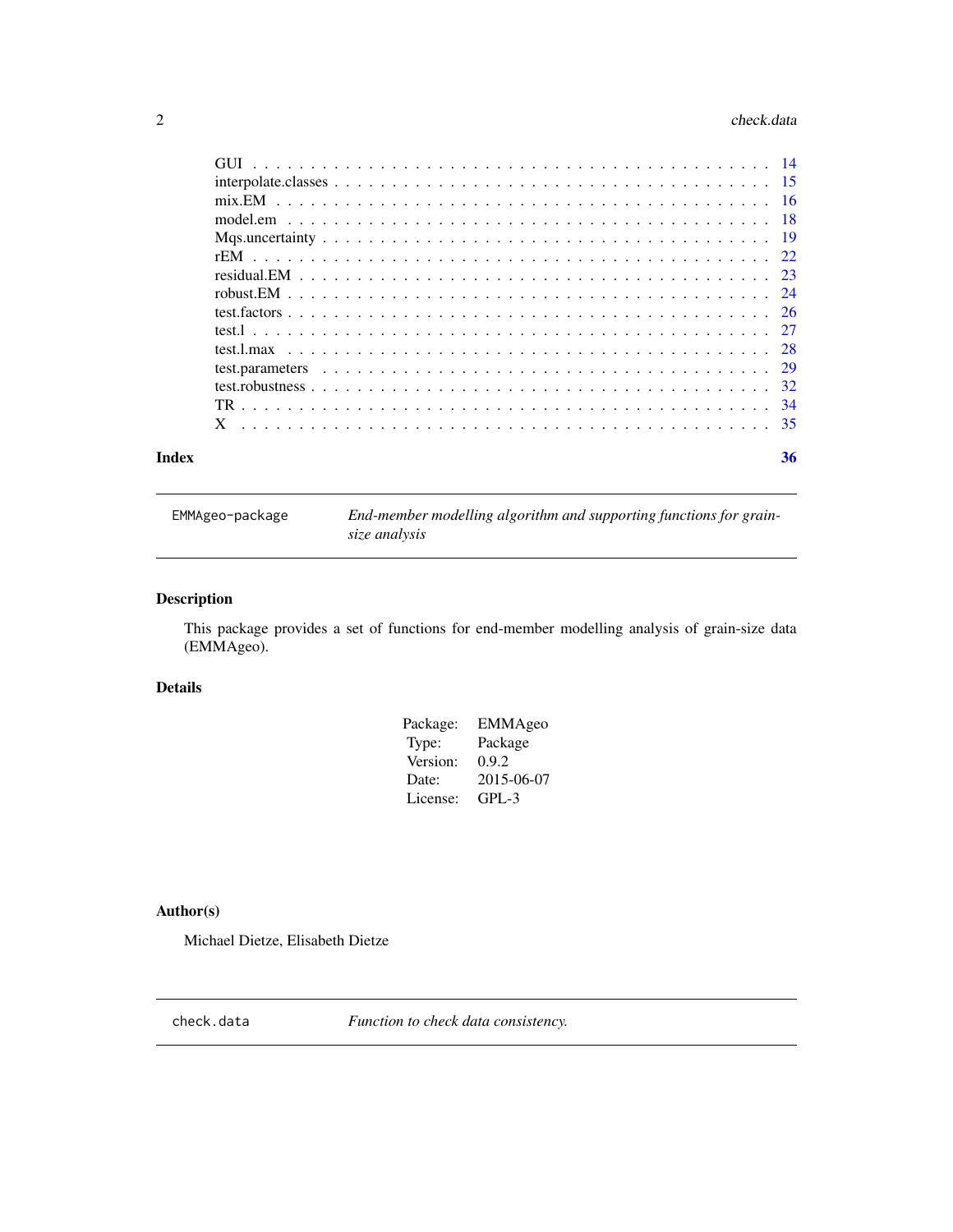#### <span id="page-1-0"></span> $2 \cos \theta$  check.data

| 36 |
|----|

EMMAgeo-package *End-member modelling algorithm and supporting functions for grainsize analysis*

# Description

This package provides a set of functions for end-member modelling analysis of grain-size data (EMMAgeo).

# Details

| EMMAgeo    |
|------------|
| Package    |
| 0.9.2      |
| 2015-06-07 |
| GPL-3      |
|            |

# Author(s)

Michael Dietze, Elisabeth Dietze

<span id="page-1-1"></span>check.data *Function to check data consistency.*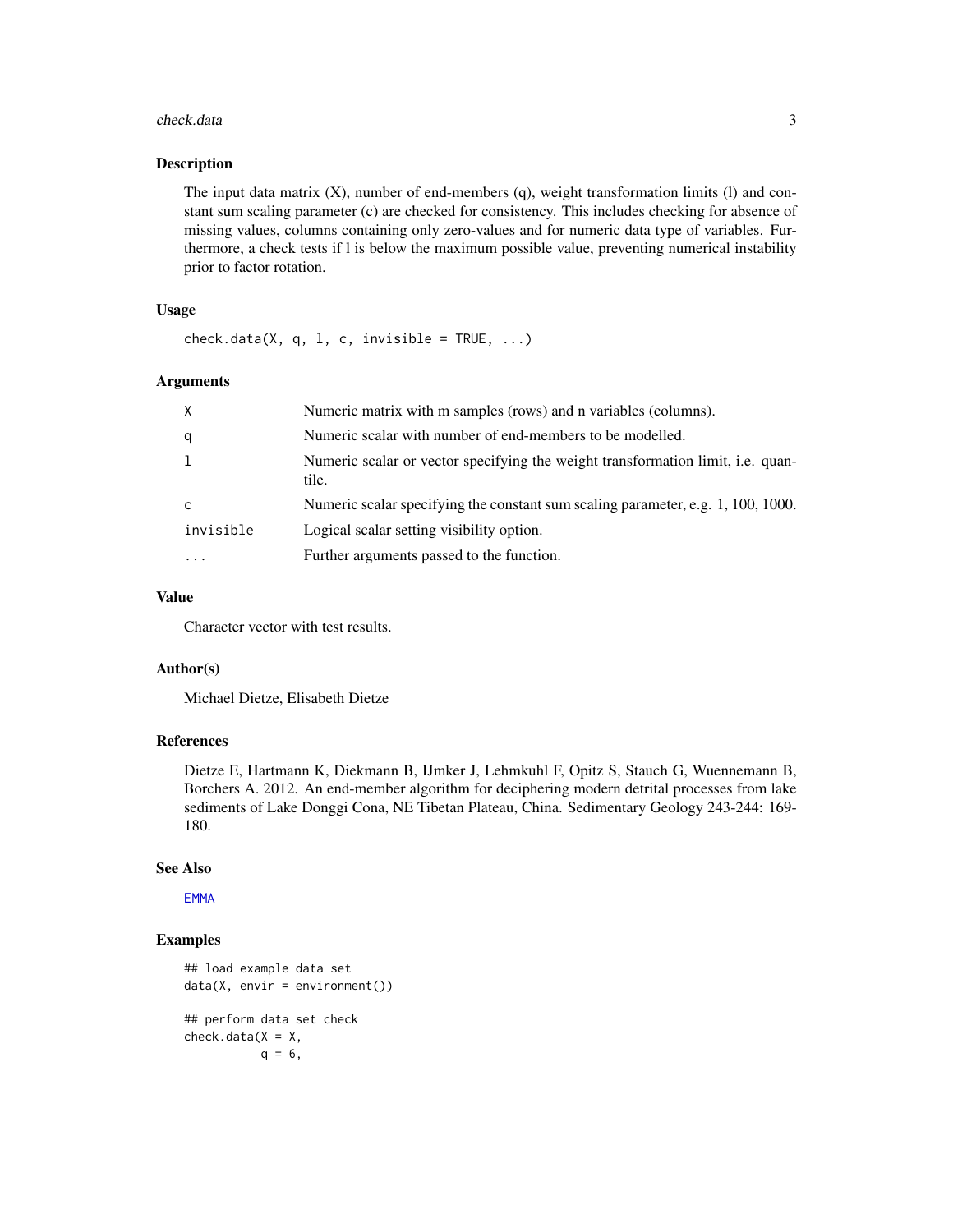#### <span id="page-2-0"></span>check.data 3

#### Description

The input data matrix (X), number of end-members (q), weight transformation limits (l) and constant sum scaling parameter (c) are checked for consistency. This includes checking for absence of missing values, columns containing only zero-values and for numeric data type of variables. Furthermore, a check tests if l is below the maximum possible value, preventing numerical instability prior to factor rotation.

# Usage

 $check.data(X, q, 1, c, invisible = TRUE, ...)$ 

#### Arguments

| X         | Numeric matrix with m samples (rows) and n variables (columns).                                 |
|-----------|-------------------------------------------------------------------------------------------------|
| q         | Numeric scalar with number of end-members to be modelled.                                       |
| 1         | Numeric scalar or vector specifying the weight transformation limit, <i>i.e.</i> quan-<br>tile. |
| C         | Numeric scalar specifying the constant sum scaling parameter, e.g. 1, 100, 1000.                |
| invisible | Logical scalar setting visibility option.                                                       |
|           | Further arguments passed to the function.                                                       |

#### Value

Character vector with test results.

#### Author(s)

Michael Dietze, Elisabeth Dietze

# References

Dietze E, Hartmann K, Diekmann B, IJmker J, Lehmkuhl F, Opitz S, Stauch G, Wuennemann B, Borchers A. 2012. An end-member algorithm for deciphering modern detrital processes from lake sediments of Lake Donggi Cona, NE Tibetan Plateau, China. Sedimentary Geology 243-244: 169- 180.

# See Also

**[EMMA](#page-6-1)** 

```
## load example data set
data(X, envir = environment())## perform data set check
check.data(X = X,q = 6,
```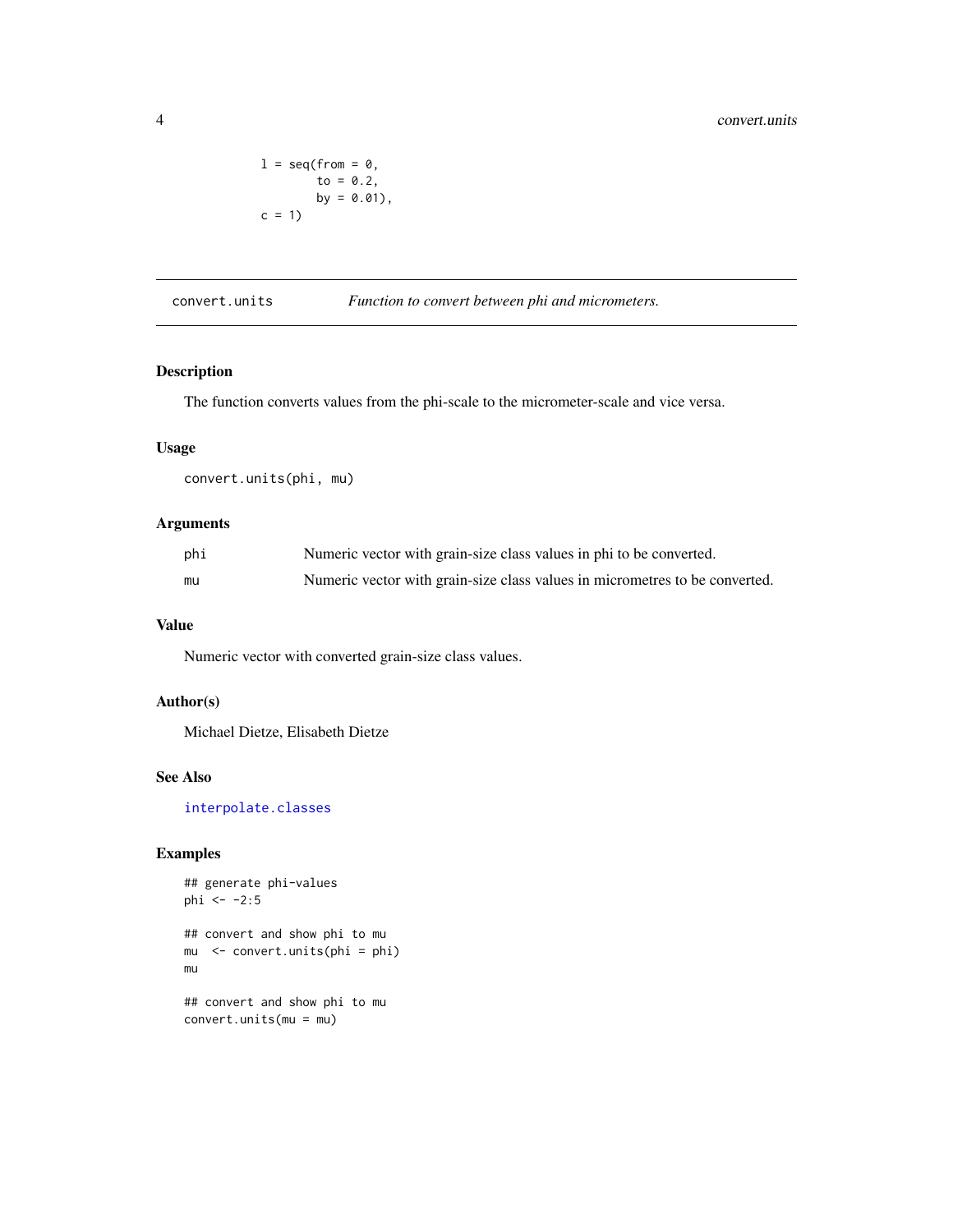```
l = seq(from = 0,to = 0.2,
       by = 0.01,
c = 1
```
convert.units *Function to convert between phi and micrometers.*

# Description

The function converts values from the phi-scale to the micrometer-scale and vice versa.

# Usage

convert.units(phi, mu)

# Arguments

| phi | Numeric vector with grain-size class values in phi to be converted.         |
|-----|-----------------------------------------------------------------------------|
| mu  | Numeric vector with grain-size class values in micrometres to be converted. |

# Value

Numeric vector with converted grain-size class values.

# Author(s)

Michael Dietze, Elisabeth Dietze

# See Also

[interpolate.classes](#page-14-1)

```
## generate phi-values
phi <- -2:5## convert and show phi to mu
mu <- convert.units(phi = phi)
mu
## convert and show phi to mu
convert.units(mu = mu)
```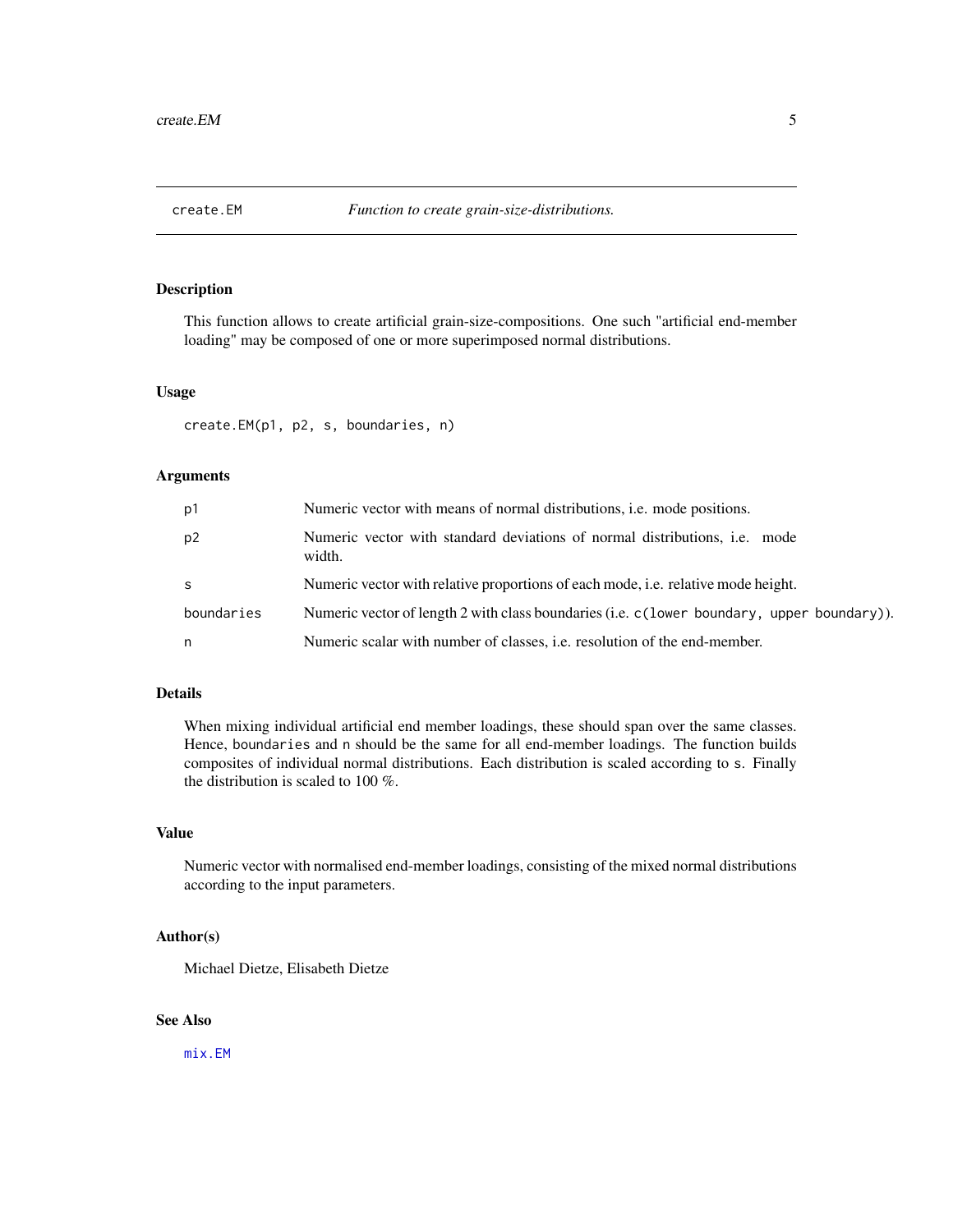<span id="page-4-1"></span><span id="page-4-0"></span>

# Description

This function allows to create artificial grain-size-compositions. One such "artificial end-member loading" may be composed of one or more superimposed normal distributions.

# Usage

create.EM(p1, p2, s, boundaries, n)

#### Arguments

| p1             | Numeric vector with means of normal distributions, <i>i.e.</i> mode positions.              |
|----------------|---------------------------------------------------------------------------------------------|
| p <sub>2</sub> | Numeric vector with standard deviations of normal distributions, <i>i.e.</i> mode<br>width. |
| <sub>S</sub>   | Numeric vector with relative proportions of each mode, <i>i.e.</i> relative mode height.    |
| boundaries     | Numeric vector of length 2 with class boundaries (i.e. c (lower boundary, upper boundary)). |
| n              | Numeric scalar with number of classes, <i>i.e.</i> resolution of the end-member.            |

# Details

When mixing individual artificial end member loadings, these should span over the same classes. Hence, boundaries and n should be the same for all end-member loadings. The function builds composites of individual normal distributions. Each distribution is scaled according to s. Finally the distribution is scaled to 100 %.

# Value

Numeric vector with normalised end-member loadings, consisting of the mixed normal distributions according to the input parameters.

#### Author(s)

Michael Dietze, Elisabeth Dietze

# See Also

[mix.EM](#page-15-1)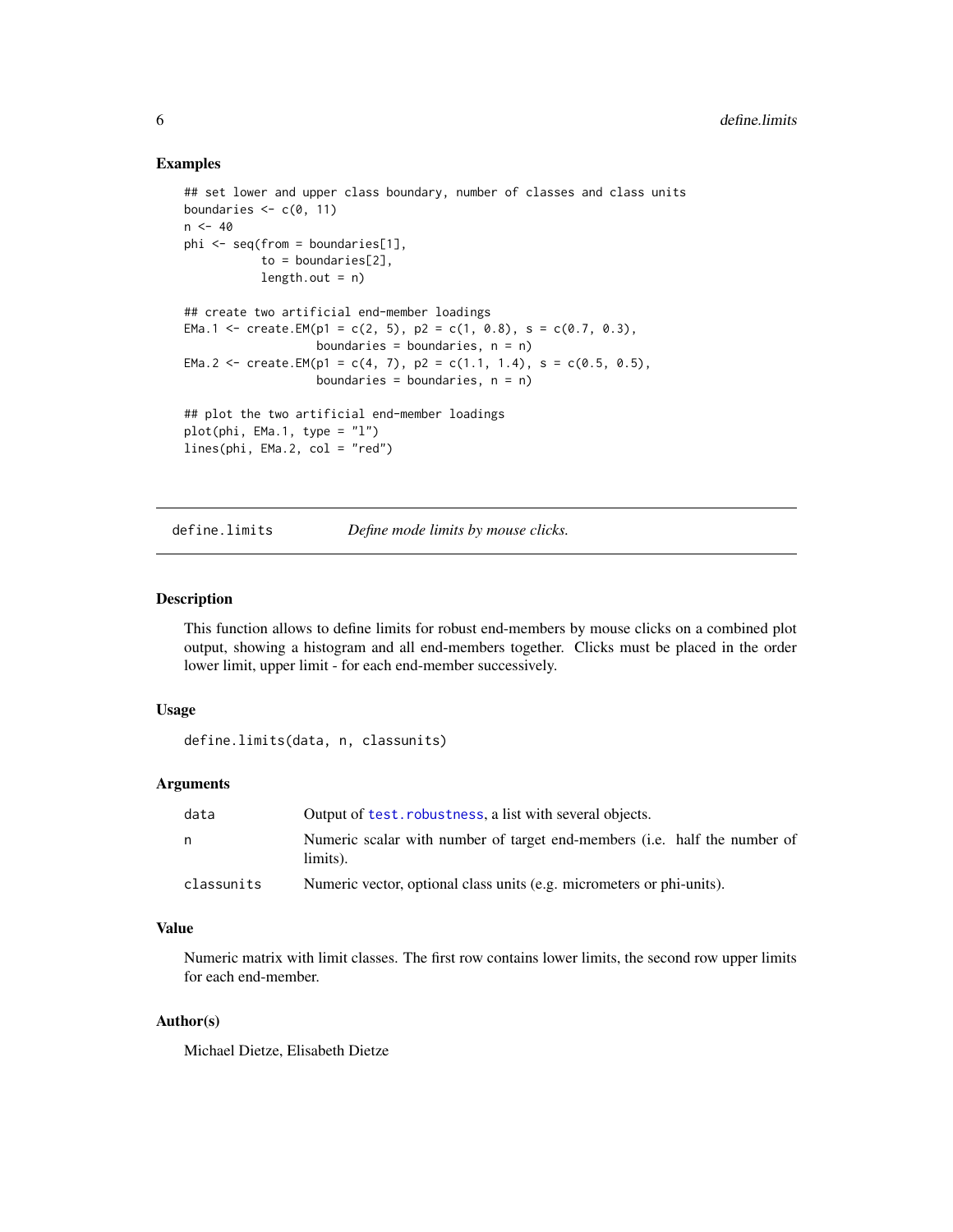#### Examples

```
## set lower and upper class boundary, number of classes and class units
boundaries \leq c(0, 11)
n < -40phi <- seq(from = boundaries[1],
           to = boundaries[2],
           length.out = n)## create two artificial end-member loadings
EMa.1 <- create.EM(p1 = c(2, 5), p2 = c(1, 0.8), s = c(0.7, 0.3),
                   boundaries = boundaries, n = n)
EMa.2 <- create.EM(p1 = c(4, 7), p2 = c(1.1, 1.4), s = c(0.5, 0.5),
                   boundaries = boundaries, n = n)
## plot the two artificial end-member loadings
plot(\phi h_i, EMa.1, type = "l")lines(phi, EMa.2, col = "red")
```
<span id="page-5-1"></span>define.limits *Define mode limits by mouse clicks.*

# Description

This function allows to define limits for robust end-members by mouse clicks on a combined plot output, showing a histogram and all end-members together. Clicks must be placed in the order lower limit, upper limit - for each end-member successively.

#### Usage

```
define.limits(data, n, classunits)
```
# Arguments

| data       | Output of test. robustness, a list with several objects.                                      |
|------------|-----------------------------------------------------------------------------------------------|
| n          | Numeric scalar with number of target end-members ( <i>i.e.</i> half the number of<br>limits). |
| classunits | Numeric vector, optional class units (e.g. micrometers or phi-units).                         |

# Value

Numeric matrix with limit classes. The first row contains lower limits, the second row upper limits for each end-member.

# Author(s)

Michael Dietze, Elisabeth Dietze

<span id="page-5-0"></span>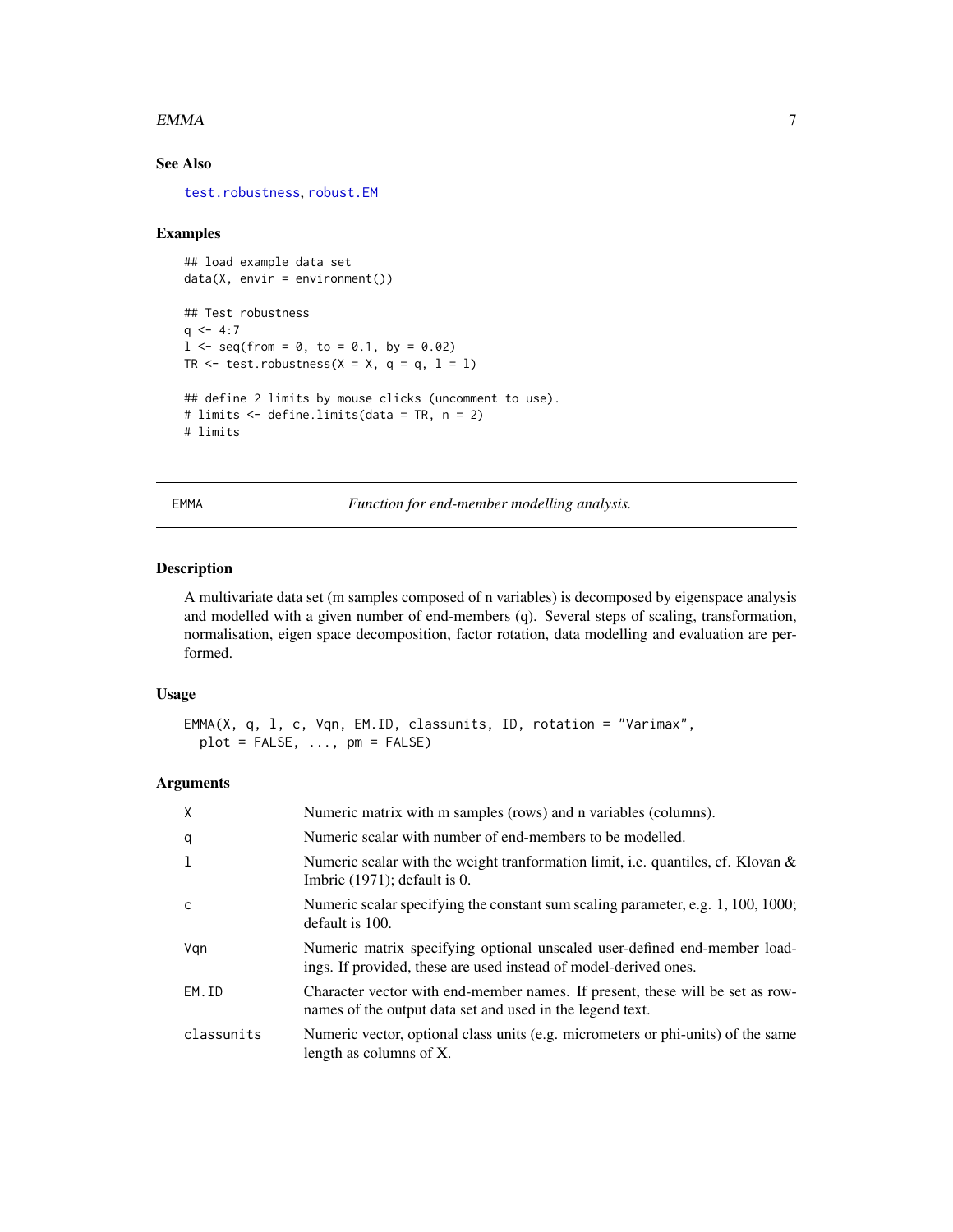#### <span id="page-6-0"></span> $EMMA$  7

# See Also

[test.robustness](#page-31-1), [robust.EM](#page-23-1)

### Examples

```
## load example data set
data(X, envir = environment())## Test robustness
q \le -4:71 \le - seq(from = 0, to = 0.1, by = 0.02)
TR \le test.robustness(X = X, q = q, 1 = 1)
## define 2 limits by mouse clicks (uncomment to use).
# limits <- define.limits(data = TR, n = 2)
# limits
```
<span id="page-6-1"></span>EMMA *Function for end-member modelling analysis.*

# Description

A multivariate data set (m samples composed of n variables) is decomposed by eigenspace analysis and modelled with a given number of end-members (q). Several steps of scaling, transformation, normalisation, eigen space decomposition, factor rotation, data modelling and evaluation are performed.

# Usage

```
EMMA(X, q, l, c, Vqn, EM.ID, classunits, ID, rotation = "Varimax",
 plot = FALSE, ..., pm = FALSE)
```
#### Arguments

| X            | Numeric matrix with m samples (rows) and n variables (columns).                                                                               |
|--------------|-----------------------------------------------------------------------------------------------------------------------------------------------|
| q            | Numeric scalar with number of end-members to be modelled.                                                                                     |
| 1            | Numeric scalar with the weight transformation limit, i.e. quantiles, cf. Klovan $\&$<br>Imbrie $(1971)$ ; default is 0.                       |
| $\mathsf{C}$ | Numeric scalar specifying the constant sum scaling parameter, e.g. 1, 100, 1000;<br>default is 100.                                           |
| Vgn          | Numeric matrix specifying optional unscaled user-defined end-member load-<br>ings. If provided, these are used instead of model-derived ones. |
| EM.ID        | Character vector with end-member names. If present, these will be set as row-<br>names of the output data set and used in the legend text.    |
| classunits   | Numeric vector, optional class units (e.g. micrometers or phi-units) of the same<br>length as columns of X.                                   |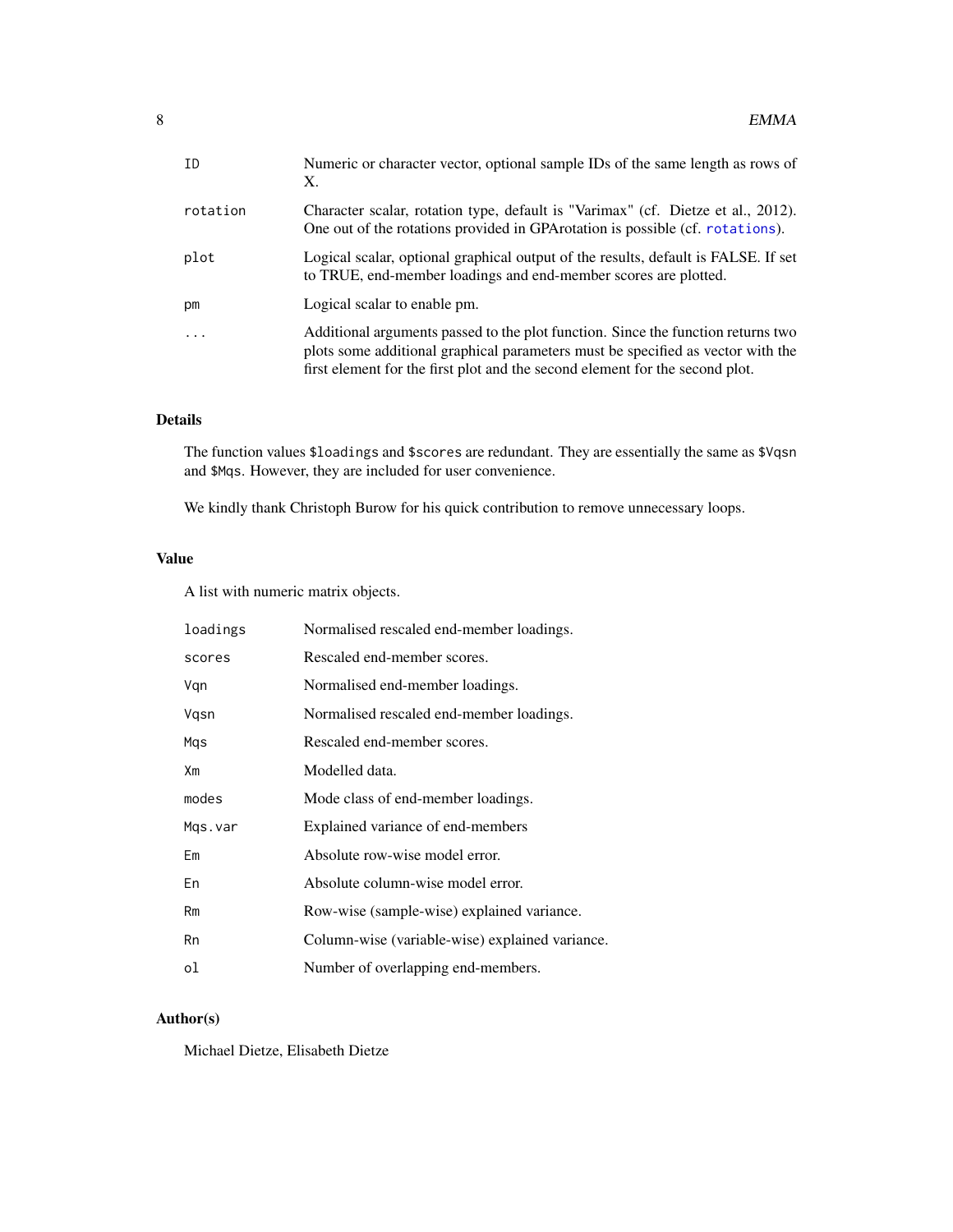<span id="page-7-0"></span>

| Numeric or character vector, optional sample IDs of the same length as rows of<br>X.                                                                                                                                                                |
|-----------------------------------------------------------------------------------------------------------------------------------------------------------------------------------------------------------------------------------------------------|
| Character scalar, rotation type, default is "Varimax" (cf. Dietze et al., 2012).<br>One out of the rotations provided in GPA rotation is possible (cf. rotations).                                                                                  |
| Logical scalar, optional graphical output of the results, default is FALSE. If set<br>to TRUE, end-member loadings and end-member scores are plotted.                                                                                               |
| Logical scalar to enable pm.                                                                                                                                                                                                                        |
| Additional arguments passed to the plot function. Since the function returns two<br>plots some additional graphical parameters must be specified as vector with the<br>first element for the first plot and the second element for the second plot. |
|                                                                                                                                                                                                                                                     |

# Details

The function values \$loadings and \$scores are redundant. They are essentially the same as \$Vqsn and \$Mqs. However, they are included for user convenience.

We kindly thank Christoph Burow for his quick contribution to remove unnecessary loops.

# Value

A list with numeric matrix objects.

| loadings | Normalised rescaled end-member loadings.        |
|----------|-------------------------------------------------|
| scores   | Rescaled end-member scores.                     |
| Vgn      | Normalised end-member loadings.                 |
| Vgsn     | Normalised rescaled end-member loadings.        |
| Mqs      | Rescaled end-member scores.                     |
| Xm       | Modelled data.                                  |
| modes    | Mode class of end-member loadings.              |
| Mgs.var  | Explained variance of end-members               |
| Em       | Absolute row-wise model error.                  |
| En       | Absolute column-wise model error.               |
| Rm       | Row-wise (sample-wise) explained variance.      |
| Rn       | Column-wise (variable-wise) explained variance. |
| οl       | Number of overlapping end-members.              |

# Author(s)

Michael Dietze, Elisabeth Dietze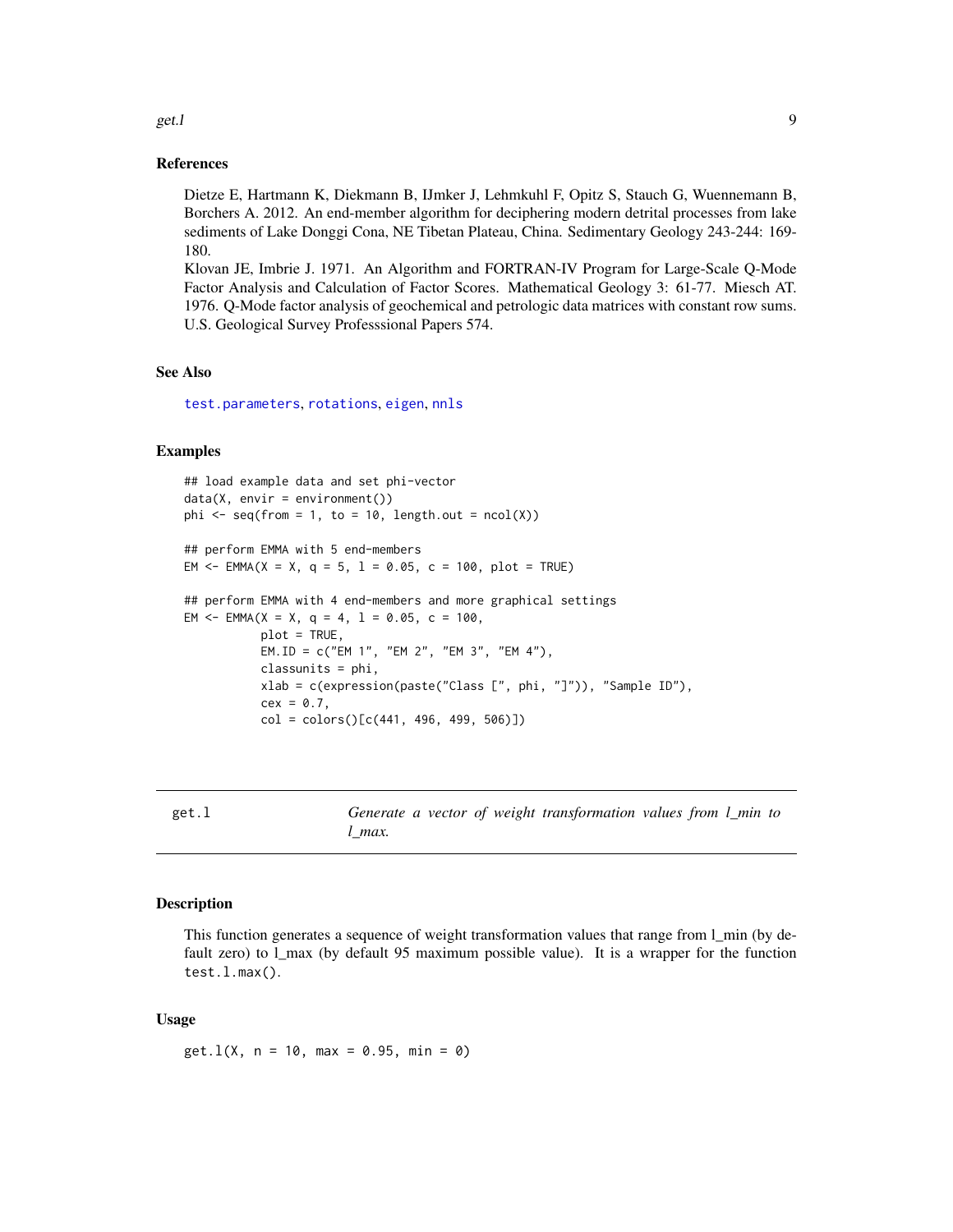### References

Dietze E, Hartmann K, Diekmann B, IJmker J, Lehmkuhl F, Opitz S, Stauch G, Wuennemann B, Borchers A. 2012. An end-member algorithm for deciphering modern detrital processes from lake sediments of Lake Donggi Cona, NE Tibetan Plateau, China. Sedimentary Geology 243-244: 169- 180.

Klovan JE, Imbrie J. 1971. An Algorithm and FORTRAN-IV Program for Large-Scale Q-Mode Factor Analysis and Calculation of Factor Scores. Mathematical Geology 3: 61-77. Miesch AT. 1976. Q-Mode factor analysis of geochemical and petrologic data matrices with constant row sums. U.S. Geological Survey Professsional Papers 574.

# See Also

[test.parameters](#page-28-1), [rotations](#page-0-0), [eigen](#page-0-0), [nnls](#page-0-0)

#### Examples

```
## load example data and set phi-vector
data(X, envir = environment())phi \leq seq(from = 1, to = 10, length.out = ncol(X))
## perform EMMA with 5 end-members
EM \le = EMMA(X = X, q = 5, 1 = 0.05, c = 100, plot = TRUE)
## perform EMMA with 4 end-members and more graphical settings
EM <- EMMA(X = X, q = 4, 1 = 0.05, c = 100,
           plot = TRUE,
           EM.ID = c("EM 1", "EM 2", "EM 3", "EM 4"),
           classunits = phi,
           xlab = c(expression(paste("Class [", phi, "]")), "Sample ID"),
           cex = 0.7,
           col = colors() [c(441, 496, 499, 506)]
```

| get.l |              |  | Generate a vector of weight transformation values from l_min to |  |
|-------|--------------|--|-----------------------------------------------------------------|--|
|       | $\iota$ max. |  |                                                                 |  |

#### Description

This function generates a sequence of weight transformation values that range from l\_min (by default zero) to  $1$  max (by default 95 maximum possible value). It is a wrapper for the function test.l.max().

#### Usage

 $get.l(X, n = 10, max = 0.95, min = 0)$ 

#### <span id="page-8-0"></span>get.l  $\qquad \qquad 9$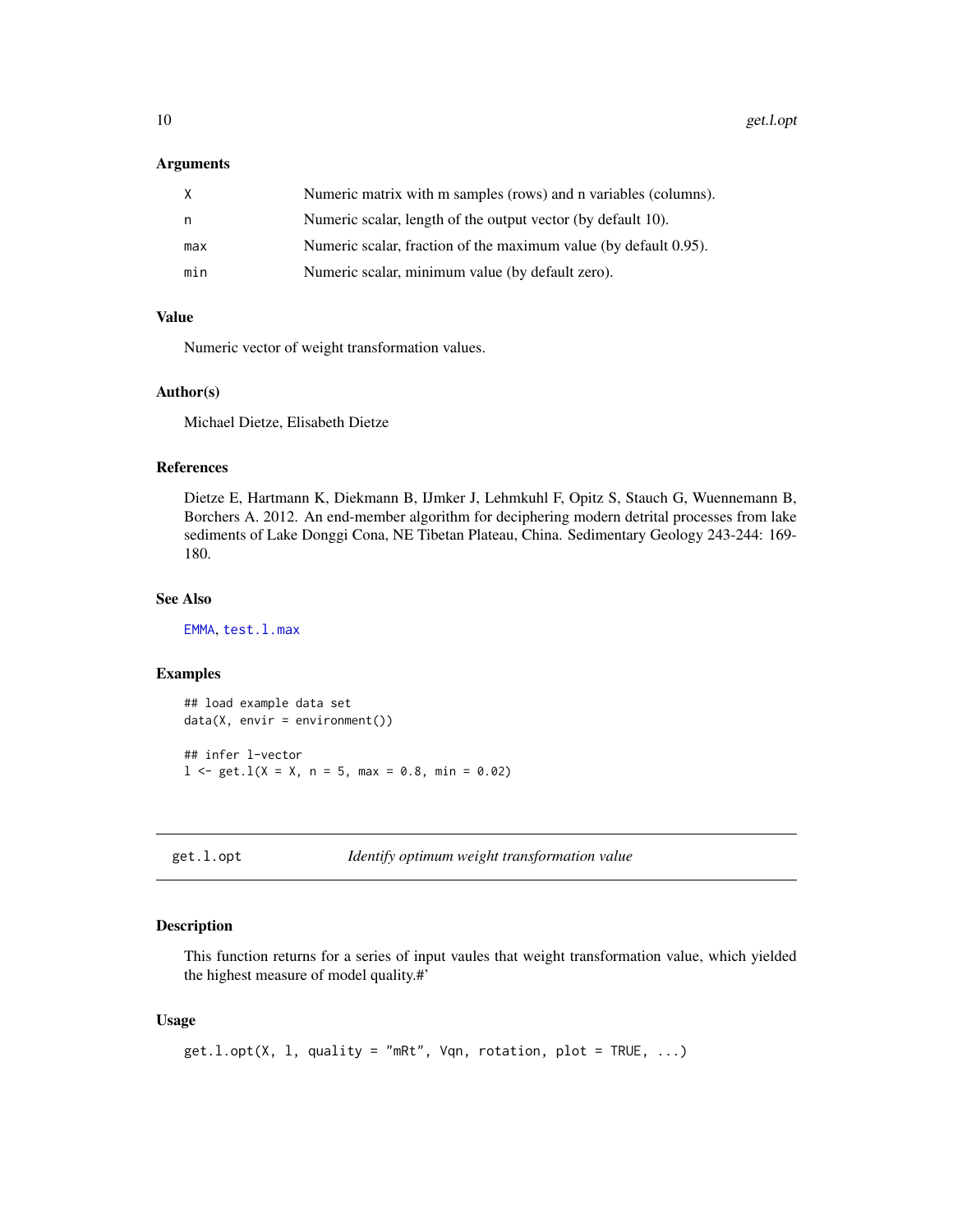#### <span id="page-9-0"></span>Arguments

| X   | Numeric matrix with m samples (rows) and n variables (columns).  |
|-----|------------------------------------------------------------------|
| n.  | Numeric scalar, length of the output vector (by default 10).     |
| max | Numeric scalar, fraction of the maximum value (by default 0.95). |
| min | Numeric scalar, minimum value (by default zero).                 |

# Value

Numeric vector of weight transformation values.

#### Author(s)

Michael Dietze, Elisabeth Dietze

#### References

Dietze E, Hartmann K, Diekmann B, IJmker J, Lehmkuhl F, Opitz S, Stauch G, Wuennemann B, Borchers A. 2012. An end-member algorithm for deciphering modern detrital processes from lake sediments of Lake Donggi Cona, NE Tibetan Plateau, China. Sedimentary Geology 243-244: 169- 180.

# See Also

[EMMA](#page-6-1), [test.l.max](#page-27-1)

#### Examples

```
## load example data set
data(X, envir = environment())## infer l-vector
1 \le - \text{get}.1(X = X, n = 5, \text{max} = 0.8, \text{min} = 0.02)
```

```
get.l.opt Identify optimum weight transformation value
```
# Description

This function returns for a series of input vaules that weight transformation value, which yielded the highest measure of model quality.#'

#### Usage

```
get.l.opt(X, l, quality = "mRt", Vqn, rotation, plot = TRUE, ...)
```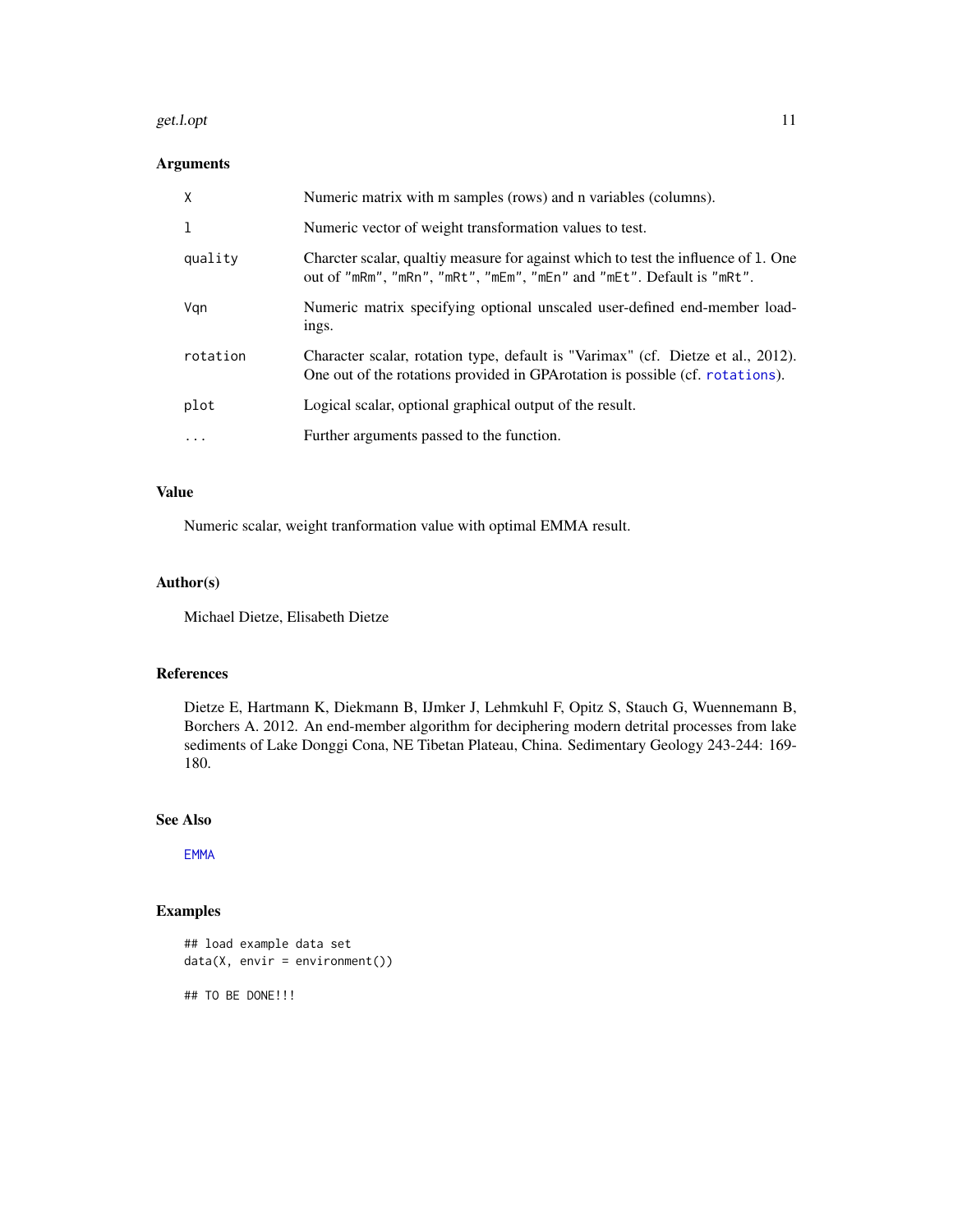#### <span id="page-10-0"></span>get.l.opt 11

# Arguments

| $\mathsf{X}$ | Numeric matrix with m samples (rows) and n variables (columns).                                                                                                    |
|--------------|--------------------------------------------------------------------------------------------------------------------------------------------------------------------|
| 1            | Numeric vector of weight transformation values to test.                                                                                                            |
| quality      | Charcter scalar, qualtiy measure for against which to test the influence of 1. One<br>out of "mRm", "mRn", "mRt", "mEm", "mEn" and "mEt". Default is "mRt".        |
| Vgn          | Numeric matrix specifying optional unscaled user-defined end-member load-<br>ings.                                                                                 |
| rotation     | Character scalar, rotation type, default is "Varimax" (cf. Dietze et al., 2012).<br>One out of the rotations provided in GPA rotation is possible (cf. rotations). |
| plot         | Logical scalar, optional graphical output of the result.                                                                                                           |
| $\cdots$     | Further arguments passed to the function.                                                                                                                          |

# Value

Numeric scalar, weight tranformation value with optimal EMMA result.

# Author(s)

Michael Dietze, Elisabeth Dietze

#### References

Dietze E, Hartmann K, Diekmann B, IJmker J, Lehmkuhl F, Opitz S, Stauch G, Wuennemann B, Borchers A. 2012. An end-member algorithm for deciphering modern detrital processes from lake sediments of Lake Donggi Cona, NE Tibetan Plateau, China. Sedimentary Geology 243-244: 169- 180.

# See Also

[EMMA](#page-6-1)

# Examples

```
## load example data set
data(X, envir = environment())
```
## TO BE DONE!!!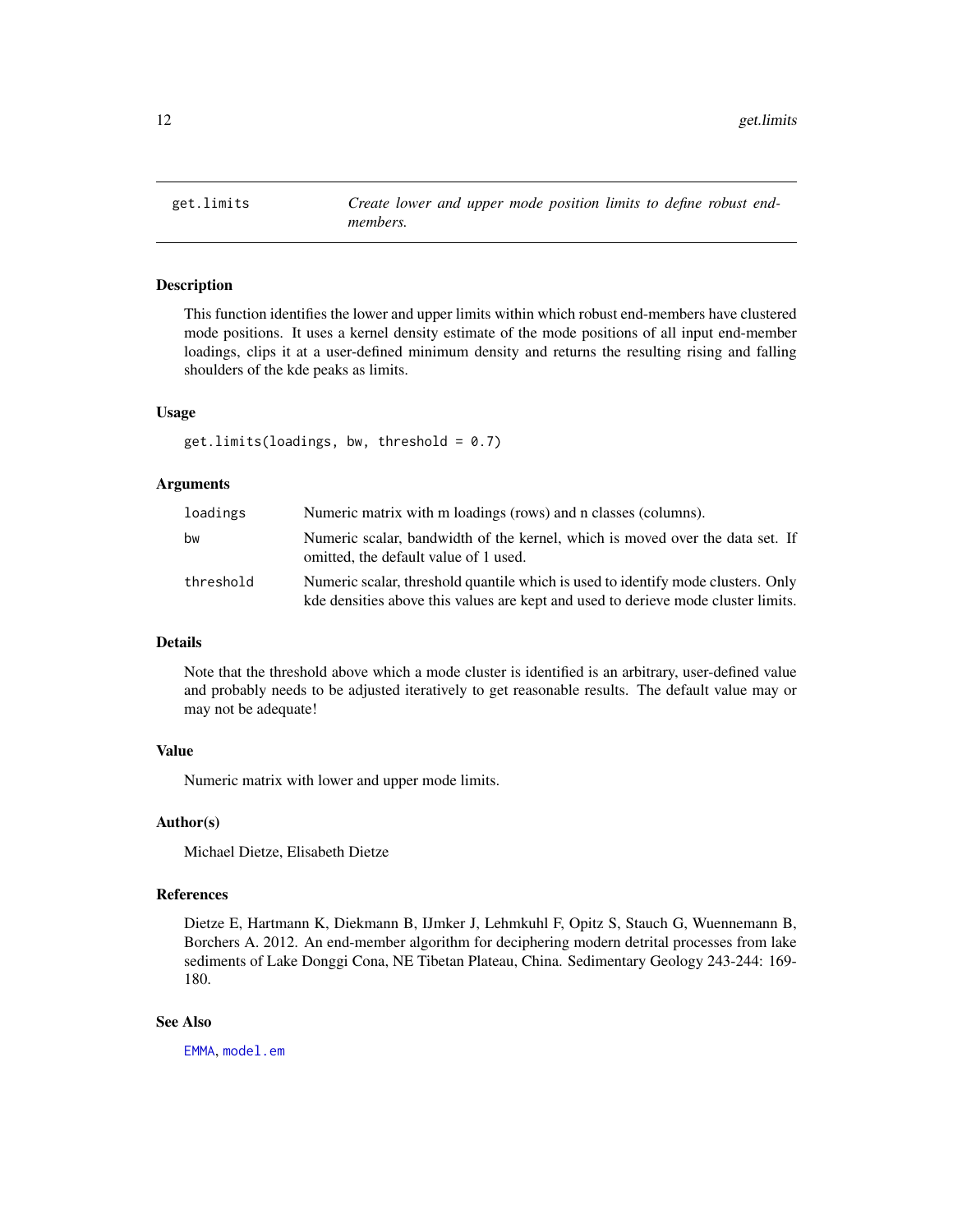<span id="page-11-0"></span>

#### Description

This function identifies the lower and upper limits within which robust end-members have clustered mode positions. It uses a kernel density estimate of the mode positions of all input end-member loadings, clips it at a user-defined minimum density and returns the resulting rising and falling shoulders of the kde peaks as limits.

#### Usage

 $get.limits(loadings, bw, threshold = 0.7)$ 

#### Arguments

| loadings  | Numeric matrix with m loadings (rows) and n classes (columns).                                                                                                        |
|-----------|-----------------------------------------------------------------------------------------------------------------------------------------------------------------------|
| bw        | Numeric scalar, bandwidth of the kernel, which is moved over the data set. If<br>omitted, the default value of 1 used.                                                |
| threshold | Numeric scalar, threshold quantile which is used to identify mode clusters. Only<br>kde densities above this values are kept and used to derieve mode cluster limits. |

#### Details

Note that the threshold above which a mode cluster is identified is an arbitrary, user-defined value and probably needs to be adjusted iteratively to get reasonable results. The default value may or may not be adequate!

#### Value

Numeric matrix with lower and upper mode limits.

#### Author(s)

Michael Dietze, Elisabeth Dietze

#### References

Dietze E, Hartmann K, Diekmann B, IJmker J, Lehmkuhl F, Opitz S, Stauch G, Wuennemann B, Borchers A. 2012. An end-member algorithm for deciphering modern detrital processes from lake sediments of Lake Donggi Cona, NE Tibetan Plateau, China. Sedimentary Geology 243-244: 169- 180.

#### See Also

[EMMA](#page-6-1), [model.em](#page-17-1)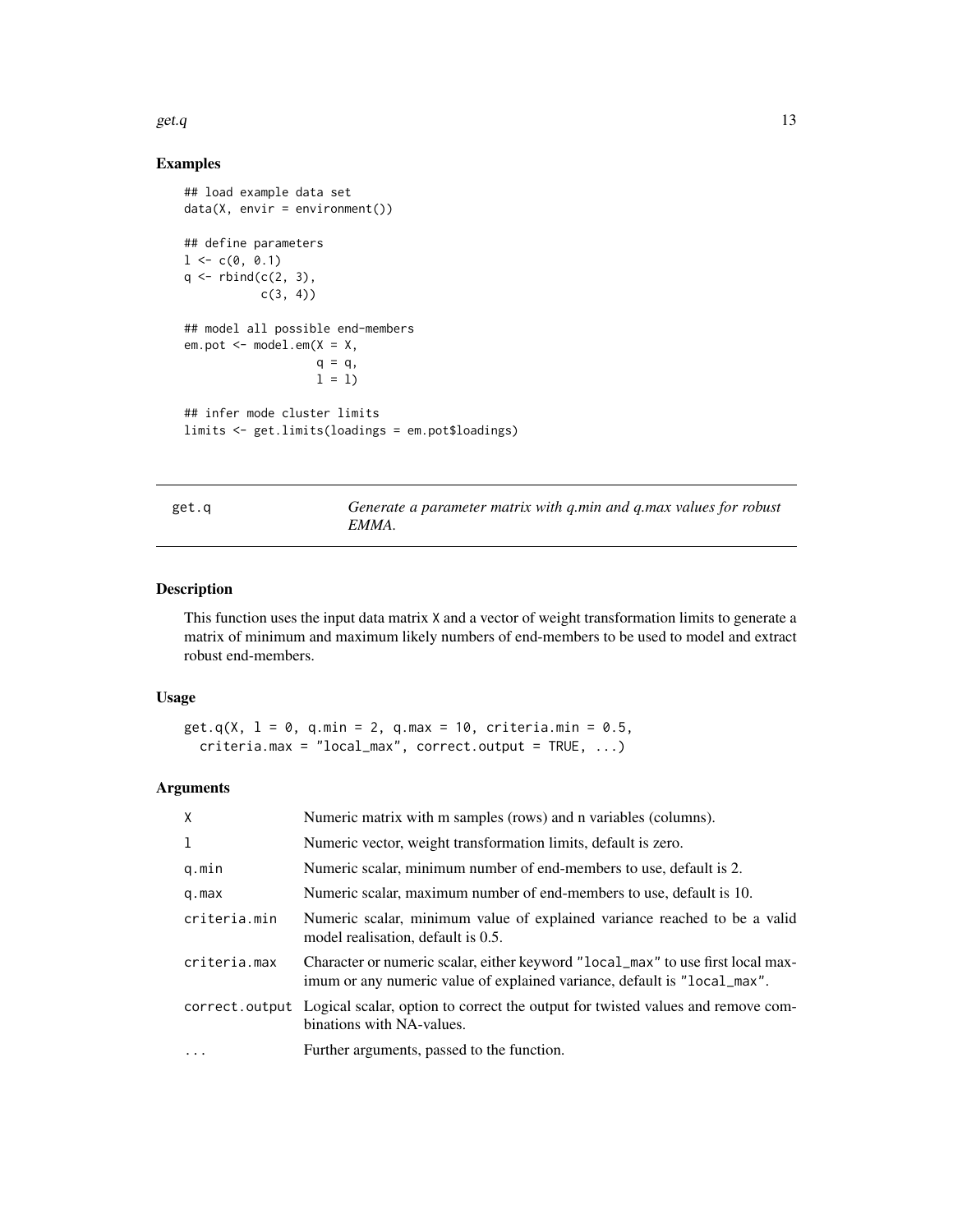<span id="page-12-0"></span>get.q  $\qquad \qquad$  13

# Examples

```
## load example data set
data(X, envir = environment())## define parameters
1 \leftarrow c(0, 0.1)q \leftarrow \text{rbind}(c(2, 3),c(3, 4)## model all possible end-members
em.pot < - model.em(X = X,
                    q = q,
                    1 = 1## infer mode cluster limits
limits <- get.limits(loadings = em.pot$loadings)
```

| റ്റ<br>г |  |
|----------|--|

get.q *Generate a parameter matrix with q.min and q.max values for robust EMMA.*

# Description

This function uses the input data matrix X and a vector of weight transformation limits to generate a matrix of minimum and maximum likely numbers of end-members to be used to model and extract robust end-members.

#### Usage

```
get.q(X, l = 0, q.min = 2, q.max = 10, criteria.min = 0.5,
  criteria.max = "local_max", correct.output = TRUE, ...)
```
# Arguments

| $\sf X$      | Numeric matrix with m samples (rows) and n variables (columns).                                                                                             |
|--------------|-------------------------------------------------------------------------------------------------------------------------------------------------------------|
| 1            | Numeric vector, weight transformation limits, default is zero.                                                                                              |
| q.min        | Numeric scalar, minimum number of end-members to use, default is 2.                                                                                         |
| q.max        | Numeric scalar, maximum number of end-members to use, default is 10.                                                                                        |
| criteria.min | Numeric scalar, minimum value of explained variance reached to be a valid<br>model realisation, default is 0.5.                                             |
| criteria.max | Character or numeric scalar, either keyword "local_max" to use first local max-<br>imum or any numeric value of explained variance, default is "local_max". |
|              | correct.output Logical scalar, option to correct the output for twisted values and remove com-<br>binations with NA-values.                                 |
|              | Further arguments, passed to the function.                                                                                                                  |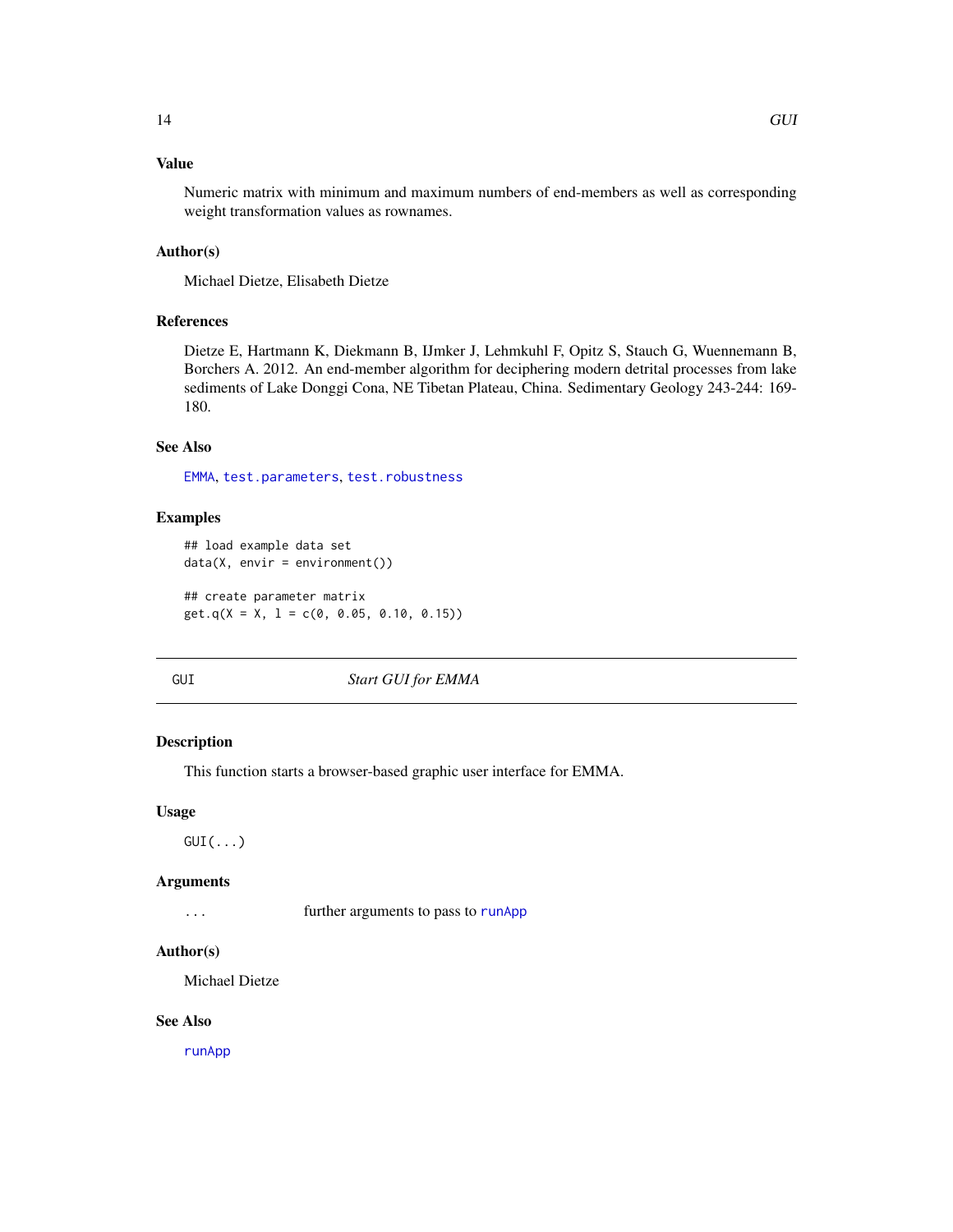# <span id="page-13-0"></span>Value

Numeric matrix with minimum and maximum numbers of end-members as well as corresponding weight transformation values as rownames.

#### Author(s)

Michael Dietze, Elisabeth Dietze

# References

Dietze E, Hartmann K, Diekmann B, IJmker J, Lehmkuhl F, Opitz S, Stauch G, Wuennemann B, Borchers A. 2012. An end-member algorithm for deciphering modern detrital processes from lake sediments of Lake Donggi Cona, NE Tibetan Plateau, China. Sedimentary Geology 243-244: 169- 180.

# See Also

[EMMA](#page-6-1), [test.parameters](#page-28-1), [test.robustness](#page-31-1)

#### Examples

```
## load example data set
data(X, envir = environment())## create parameter matrix
get.q(X = X, 1 = c(0, 0.05, 0.10, 0.15))
```
GUI *Start GUI for EMMA*

# Description

This function starts a browser-based graphic user interface for EMMA.

# Usage

 $GUI(...)$ 

#### Arguments

... **further arguments to pass to [runApp](#page-0-0)** 

#### Author(s)

Michael Dietze

#### See Also

[runApp](#page-0-0)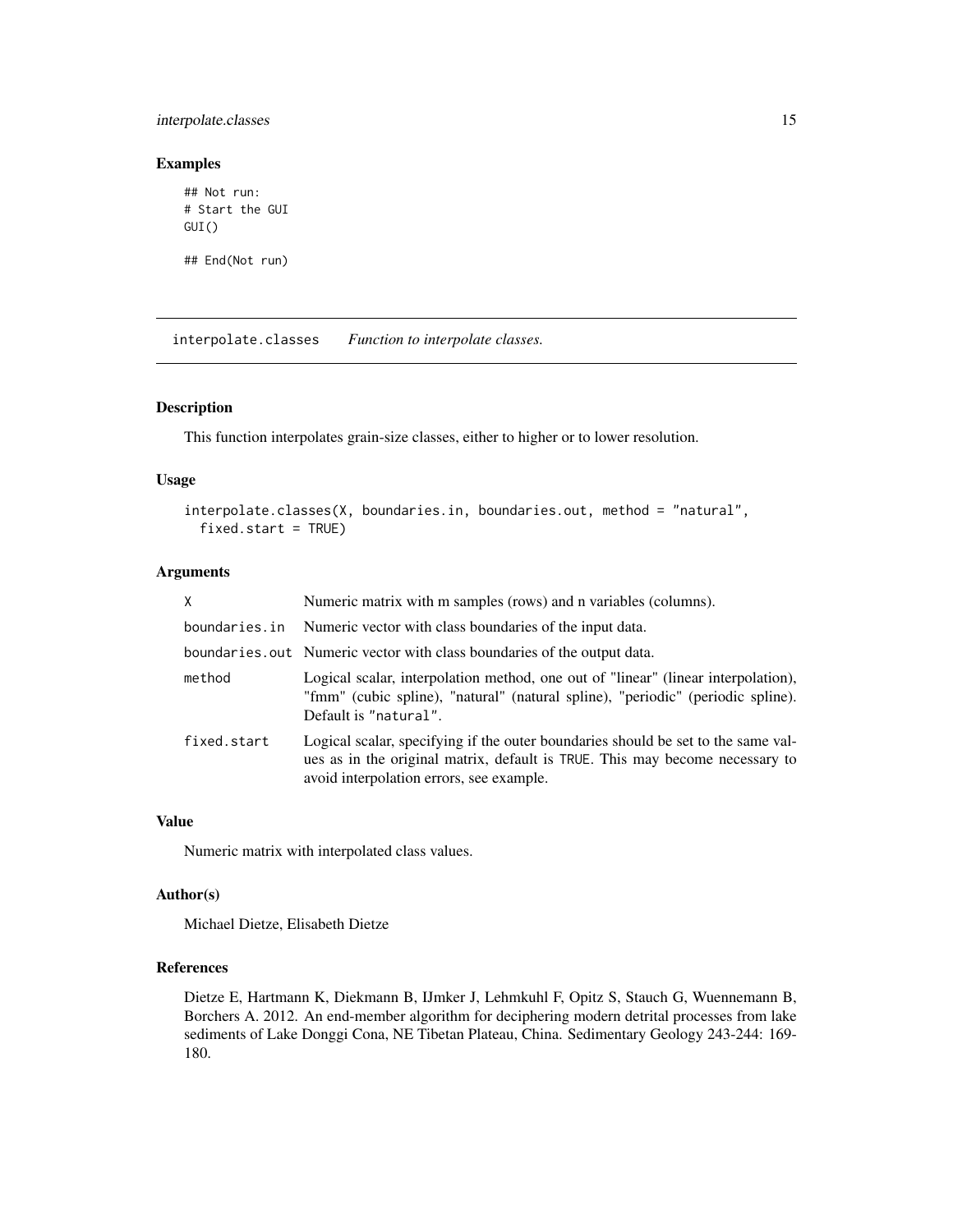# <span id="page-14-0"></span>interpolate.classes 15

# Examples

```
## Not run:
# Start the GUI
GUI()
```
## End(Not run)

<span id="page-14-1"></span>interpolate.classes *Function to interpolate classes.*

# Description

This function interpolates grain-size classes, either to higher or to lower resolution.

# Usage

```
interpolate.classes(X, boundaries.in, boundaries.out, method = "natural",
 fixed.start = TRUE)
```
# Arguments

|             | Numeric matrix with m samples (rows) and n variables (columns).                                                                                                                                               |
|-------------|---------------------------------------------------------------------------------------------------------------------------------------------------------------------------------------------------------------|
|             | boundaries.in Numeric vector with class boundaries of the input data.                                                                                                                                         |
|             | boundaries.out Numeric vector with class boundaries of the output data.                                                                                                                                       |
| method      | Logical scalar, interpolation method, one out of "linear" (linear interpolation),<br>"fmm" (cubic spline), "natural" (natural spline), "periodic" (periodic spline).<br>Default is "natural".                 |
| fixed.start | Logical scalar, specifying if the outer boundaries should be set to the same val-<br>ues as in the original matrix, default is TRUE. This may become necessary to<br>avoid interpolation errors, see example. |

# Value

Numeric matrix with interpolated class values.

# Author(s)

Michael Dietze, Elisabeth Dietze

# References

Dietze E, Hartmann K, Diekmann B, IJmker J, Lehmkuhl F, Opitz S, Stauch G, Wuennemann B, Borchers A. 2012. An end-member algorithm for deciphering modern detrital processes from lake sediments of Lake Donggi Cona, NE Tibetan Plateau, China. Sedimentary Geology 243-244: 169- 180.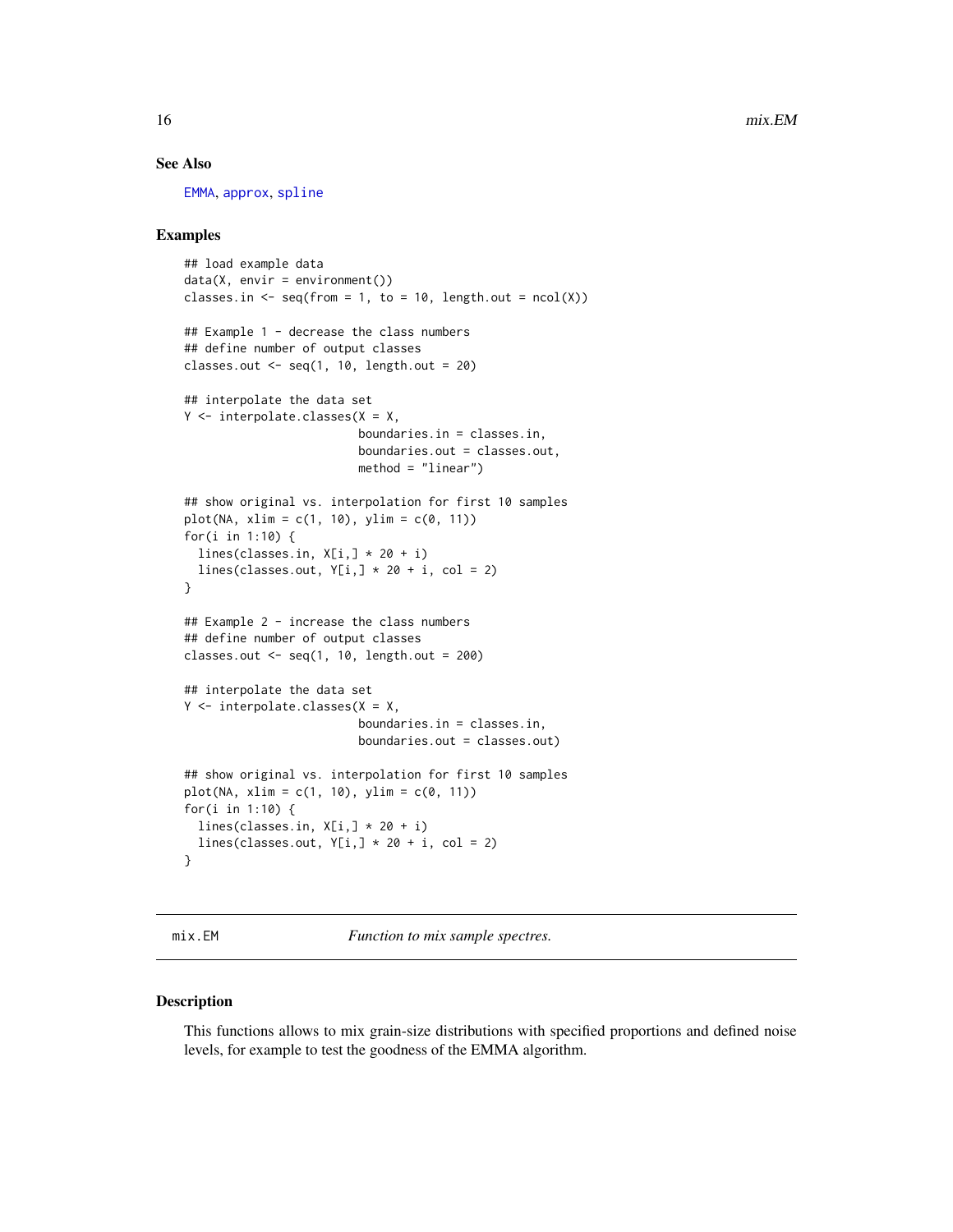#### See Also

[EMMA](#page-6-1), [approx](#page-0-0), [spline](#page-0-0)

# Examples

```
## load example data
data(X, envir = environment())classes.in \leq seq(from = 1, to = 10, length.out = ncol(X))
## Example 1 - decrease the class numbers
## define number of output classes
classes.out \leq seq(1, 10, length.out = 20)
## interpolate the data set
Y <- interpolate.classes(X = X,
                         boundaries.in = classes.in,
                         boundaries.out = classes.out,
                         method = "linear")
## show original vs. interpolation for first 10 samples
plot(NA, xlim = c(1, 10), ylim = c(0, 11))for(i in 1:10) {
  lines(classes.in, X[i, ] * 20 + i)lines(classes.out, Y[i, ] * 20 + i, col = 2)
}
## Example 2 - increase the class numbers
## define number of output classes
classes.out \leq seq(1, 10, length.out = 200)
## interpolate the data set
Y \leq - interpolate.classes(X = X,
                         boundaries.in = classes.in,
                         boundaries.out = classes.out)
## show original vs. interpolation for first 10 samples
plot(NA, xlim = c(1, 10), ylim = c(0, 11))for(i in 1:10) {
  lines(classes.in, X[i, ] * 20 + i)lines(classes.out, Y[i, ] * 20 + i, col = 2)
}
```
<span id="page-15-1"></span>

mix.EM *Function to mix sample spectres.*

#### Description

This functions allows to mix grain-size distributions with specified proportions and defined noise levels, for example to test the goodness of the EMMA algorithm.

<span id="page-15-0"></span>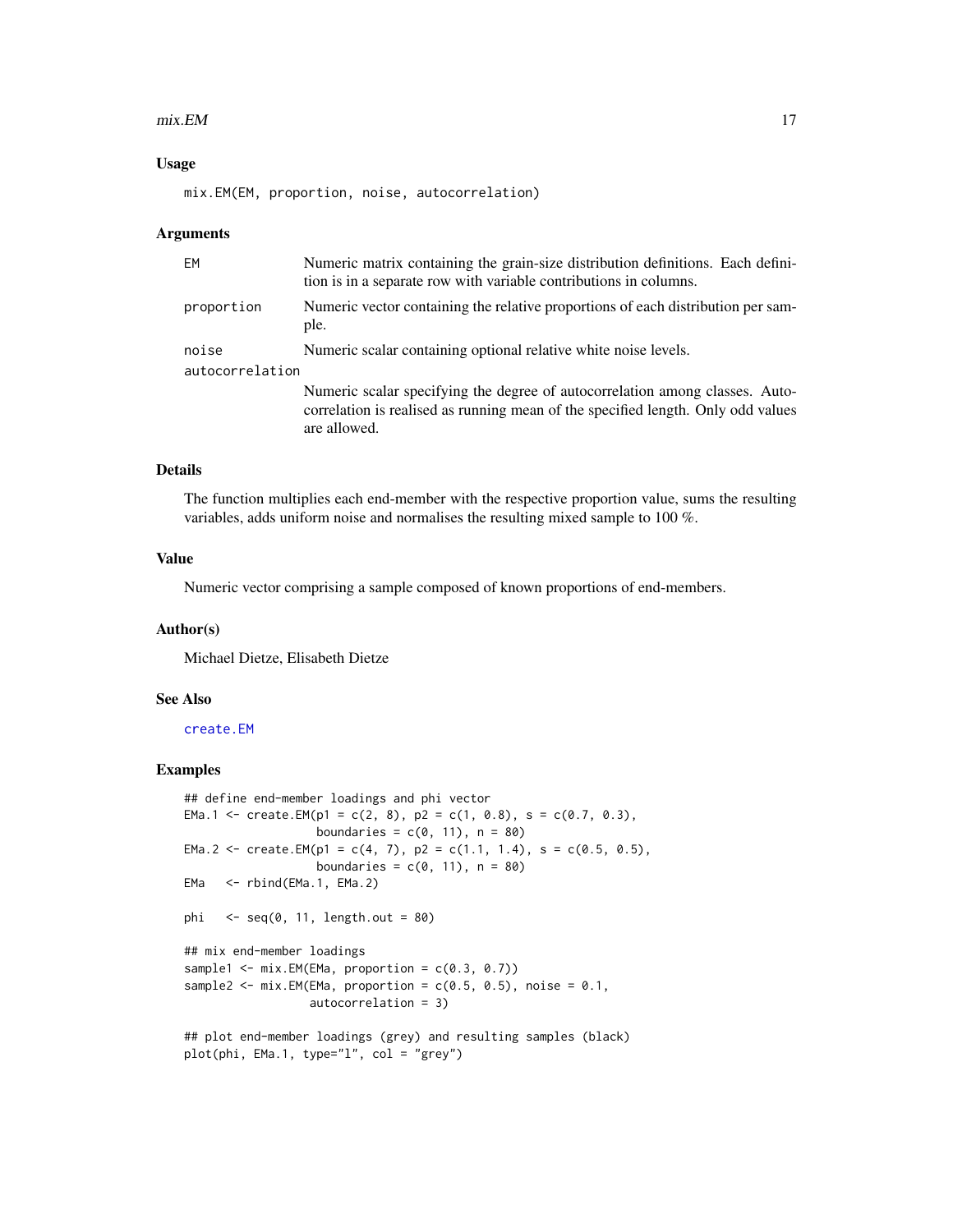#### <span id="page-16-0"></span> $mix.EM$  and the set of the set of the set of the set of the set of the set of the set of the set of the set of the set of the set of the set of the set of the set of the set of the set of the set of the set of the set of t

#### Usage

mix.EM(EM, proportion, noise, autocorrelation)

#### Arguments

| <b>EM</b>       | Numeric matrix containing the grain-size distribution definitions. Each defini-<br>tion is in a separate row with variable contributions in columns.                             |
|-----------------|----------------------------------------------------------------------------------------------------------------------------------------------------------------------------------|
| proportion      | Numeric vector containing the relative proportions of each distribution per sam-<br>ple.                                                                                         |
| noise           | Numeric scalar containing optional relative white noise levels.                                                                                                                  |
| autocorrelation |                                                                                                                                                                                  |
|                 | Numeric scalar specifying the degree of autocorrelation among classes. Auto-<br>correlation is realised as running mean of the specified length. Only odd values<br>are allowed. |

# Details

The function multiplies each end-member with the respective proportion value, sums the resulting variables, adds uniform noise and normalises the resulting mixed sample to 100 %.

#### Value

Numeric vector comprising a sample composed of known proportions of end-members.

#### Author(s)

Michael Dietze, Elisabeth Dietze

# See Also

[create.EM](#page-4-1)

```
## define end-member loadings and phi vector
EMa.1 <- create.EM(p1 = c(2, 8), p2 = c(1, 0.8), s = c(0.7, 0.3),
                   boundaries = c(0, 11), n = 80)
EMa.2 <- create.EM(p1 = c(4, 7), p2 = c(1.1, 1.4), s = c(0.5, 0.5),
                   boundaries = c(0, 11), n = 80)
EMa <- rbind(EMa.1, EMa.2)
phi \leq seq(0, 11, length.out = 80)
## mix end-member loadings
sample1 \leq mix. EM(EMa, proportion = c(0.3, 0.7))
sample2 <- mix.EM(EMa, proportion = c(0.5, 0.5), noise = 0.1,
                  autocorrelation = 3)
## plot end-member loadings (grey) and resulting samples (black)
plot(phi, EMa.1, type="l", col = "grey")
```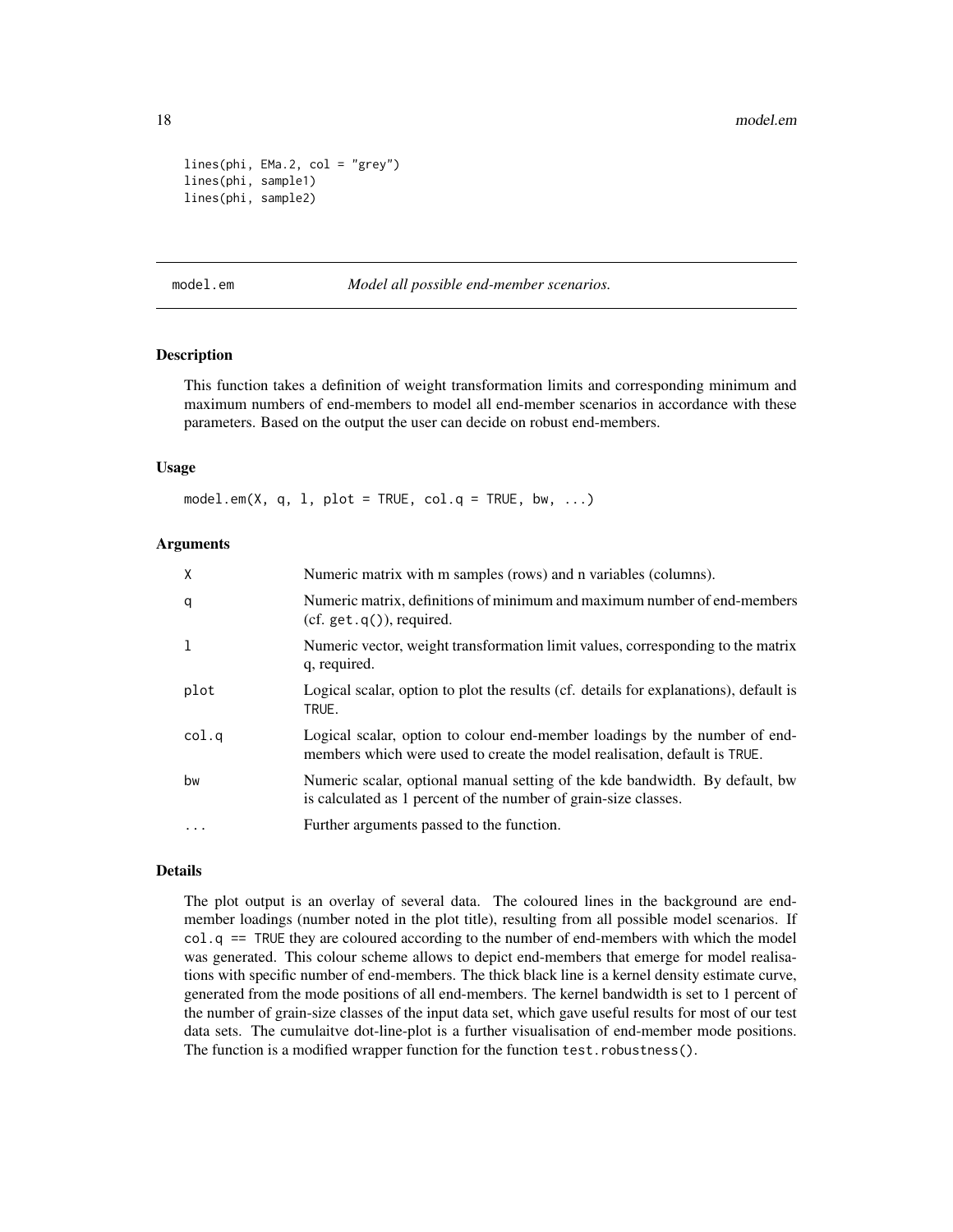```
lines(phi, EMa.2, col = "grey")lines(phi, sample1)
lines(phi, sample2)
```
<span id="page-17-1"></span>model.em *Model all possible end-member scenarios.*

# Description

This function takes a definition of weight transformation limits and corresponding minimum and maximum numbers of end-members to model all end-member scenarios in accordance with these parameters. Based on the output the user can decide on robust end-members.

#### Usage

model.em(X, q, l, plot = TRUE, col.q = TRUE, bw, ...)

#### Arguments

| X            | Numeric matrix with m samples (rows) and n variables (columns).                                                                                         |
|--------------|---------------------------------------------------------------------------------------------------------------------------------------------------------|
| q            | Numeric matrix, definitions of minimum and maximum number of end-members<br>$(cf. get.q())$ , required.                                                 |
| $\mathbf{1}$ | Numeric vector, weight transformation limit values, corresponding to the matrix<br>q, required.                                                         |
| plot         | Logical scalar, option to plot the results (cf. details for explanations), default is<br>TRUE.                                                          |
| col.q        | Logical scalar, option to colour end-member loadings by the number of end-<br>members which were used to create the model realisation, default is TRUE. |
| bw           | Numeric scalar, optional manual setting of the kde bandwidth. By default, bw<br>is calculated as 1 percent of the number of grain-size classes.         |
| $\cdots$     | Further arguments passed to the function.                                                                                                               |

# Details

The plot output is an overlay of several data. The coloured lines in the background are endmember loadings (number noted in the plot title), resulting from all possible model scenarios. If col.q == TRUE they are coloured according to the number of end-members with which the model was generated. This colour scheme allows to depict end-members that emerge for model realisations with specific number of end-members. The thick black line is a kernel density estimate curve, generated from the mode positions of all end-members. The kernel bandwidth is set to 1 percent of the number of grain-size classes of the input data set, which gave useful results for most of our test data sets. The cumulaitve dot-line-plot is a further visualisation of end-member mode positions. The function is a modified wrapper function for the function test.robustness().

<span id="page-17-0"></span>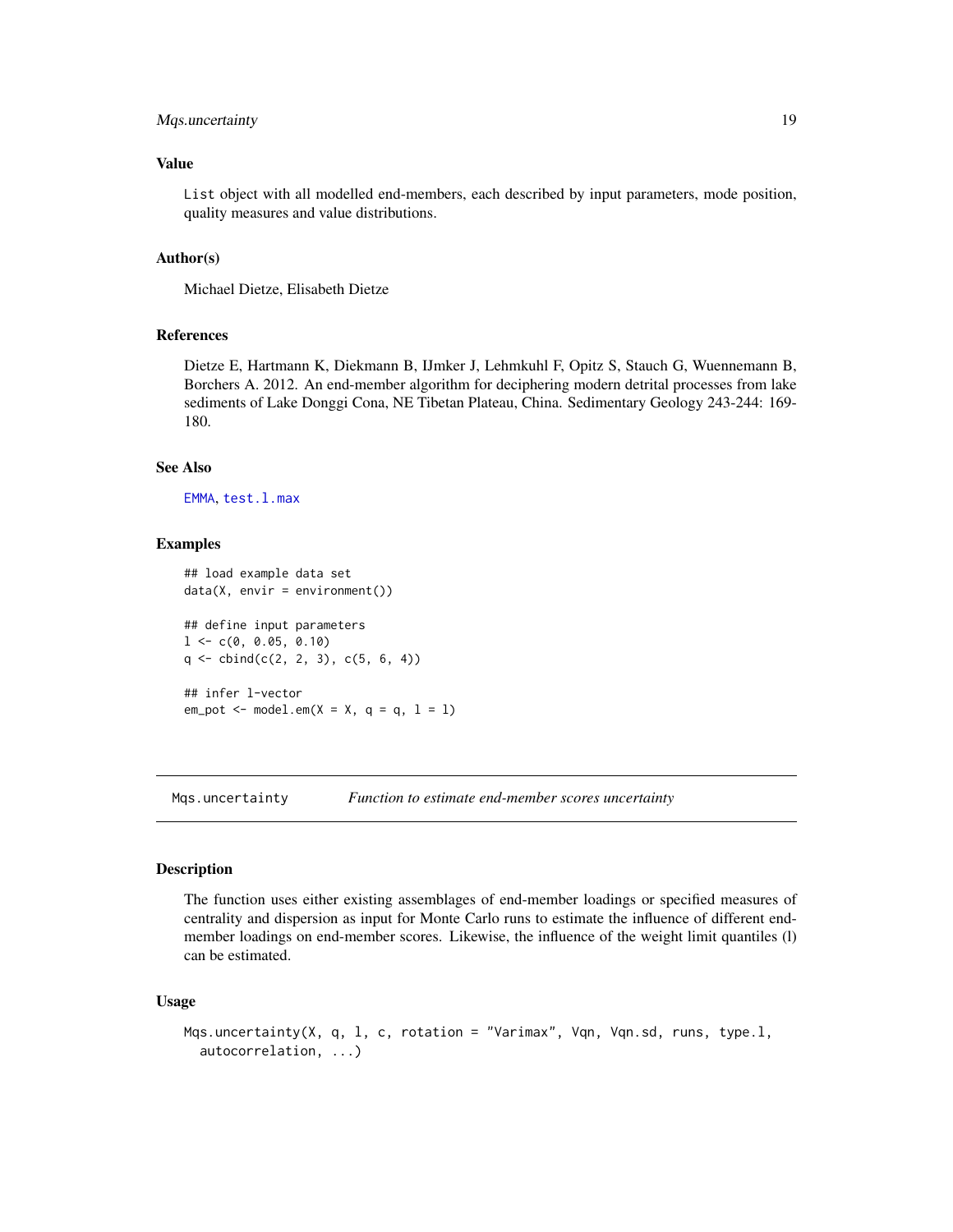# <span id="page-18-0"></span>Mqs.uncertainty 19

# Value

List object with all modelled end-members, each described by input parameters, mode position, quality measures and value distributions.

#### Author(s)

Michael Dietze, Elisabeth Dietze

#### References

Dietze E, Hartmann K, Diekmann B, IJmker J, Lehmkuhl F, Opitz S, Stauch G, Wuennemann B, Borchers A. 2012. An end-member algorithm for deciphering modern detrital processes from lake sediments of Lake Donggi Cona, NE Tibetan Plateau, China. Sedimentary Geology 243-244: 169- 180.

#### See Also

[EMMA](#page-6-1), [test.l.max](#page-27-1)

#### Examples

```
## load example data set
data(X, envir = environment())
## define input parameters
1 < -c(0, 0.05, 0.10)q \leftarrow \text{cbind}(c(2, 2, 3), c(5, 6, 4))## infer l-vector
em\_pot \leq m model.em(X = X, q = q, l = l)
```
Mqs.uncertainty *Function to estimate end-member scores uncertainty*

#### Description

The function uses either existing assemblages of end-member loadings or specified measures of centrality and dispersion as input for Monte Carlo runs to estimate the influence of different endmember loadings on end-member scores. Likewise, the influence of the weight limit quantiles (l) can be estimated.

#### Usage

```
Mqs.uncertainty(X, q, l, c, rotation = "Varimax", Vqn, Vqn.sd, runs, type.l,
  autocorrelation, ...)
```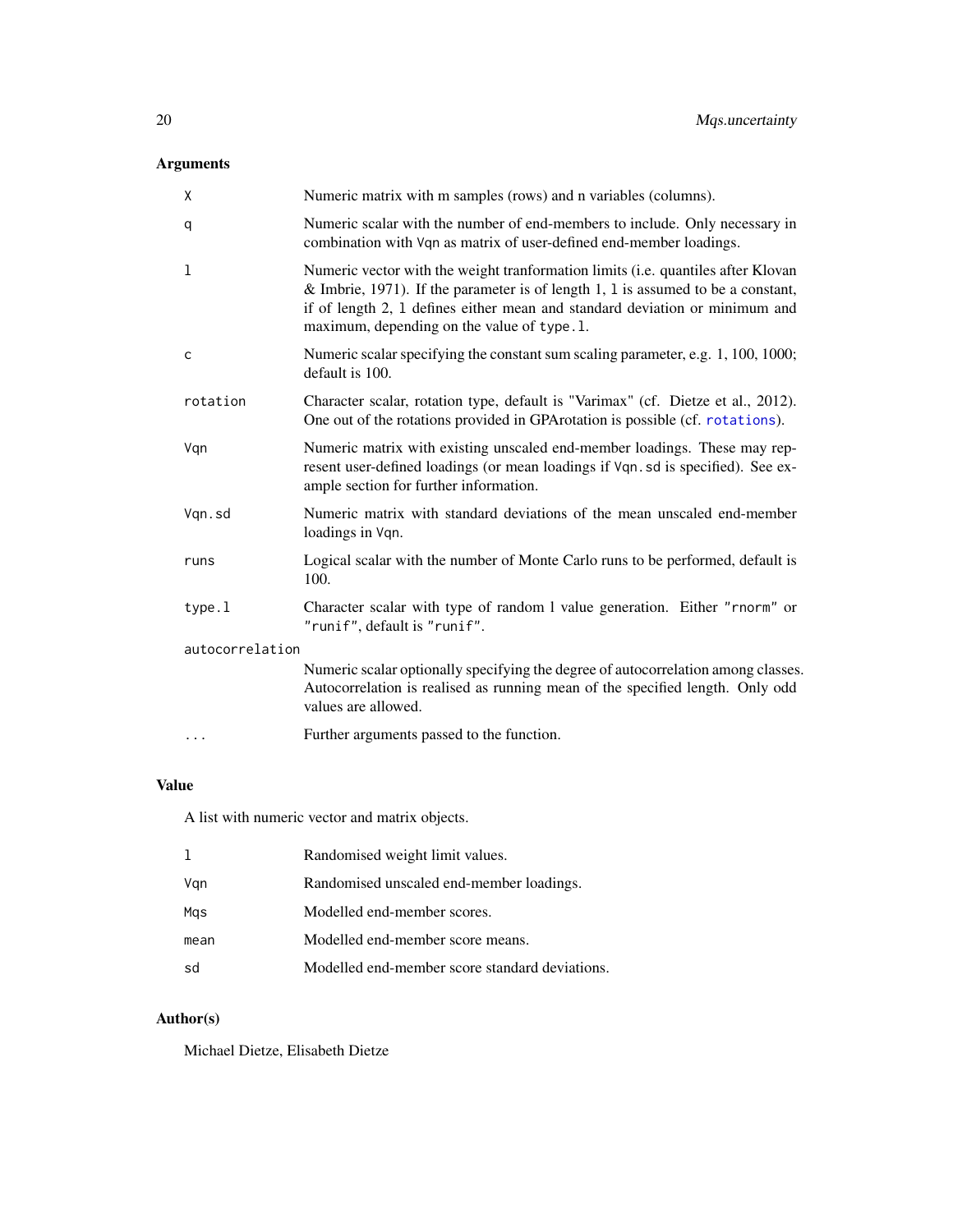# <span id="page-19-0"></span>Arguments

| X               | Numeric matrix with m samples (rows) and n variables (columns).                                                                                                                                                                                                                                   |  |
|-----------------|---------------------------------------------------------------------------------------------------------------------------------------------------------------------------------------------------------------------------------------------------------------------------------------------------|--|
| q               | Numeric scalar with the number of end-members to include. Only necessary in<br>combination with Vqn as matrix of user-defined end-member loadings.                                                                                                                                                |  |
| 1               | Numeric vector with the weight tranformation limits (i.e. quantiles after Klovan<br>& Imbrie, 1971). If the parameter is of length 1, 1 is assumed to be a constant,<br>if of length 2, 1 defines either mean and standard deviation or minimum and<br>maximum, depending on the value of type.1. |  |
| C               | Numeric scalar specifying the constant sum scaling parameter, e.g. 1, 100, 1000;<br>default is 100.                                                                                                                                                                                               |  |
| rotation        | Character scalar, rotation type, default is "Varimax" (cf. Dietze et al., 2012).<br>One out of the rotations provided in GPArotation is possible (cf. rotations).                                                                                                                                 |  |
| Vqn             | Numeric matrix with existing unscaled end-member loadings. These may rep-<br>resent user-defined loadings (or mean loadings if Vqn. sd is specified). See ex-<br>ample section for further information.                                                                                           |  |
| Vqn.sd          | Numeric matrix with standard deviations of the mean unscaled end-member<br>loadings in Vqn.                                                                                                                                                                                                       |  |
| runs            | Logical scalar with the number of Monte Carlo runs to be performed, default is<br>100.                                                                                                                                                                                                            |  |
| type.1          | Character scalar with type of random 1 value generation. Either "rnorm" or<br>"runif", default is "runif".                                                                                                                                                                                        |  |
| autocorrelation |                                                                                                                                                                                                                                                                                                   |  |
|                 | Numeric scalar optionally specifying the degree of autocorrelation among classes.<br>Autocorrelation is realised as running mean of the specified length. Only odd<br>values are allowed.                                                                                                         |  |
| $\cdots$        | Further arguments passed to the function.                                                                                                                                                                                                                                                         |  |

# Value

A list with numeric vector and matrix objects.

| 1    | Randomised weight limit values.                |
|------|------------------------------------------------|
| Vgn  | Randomised unscaled end-member loadings.       |
| Mgs  | Modelled end-member scores.                    |
| mean | Modelled end-member score means.               |
| sd   | Modelled end-member score standard deviations. |

# Author(s)

Michael Dietze, Elisabeth Dietze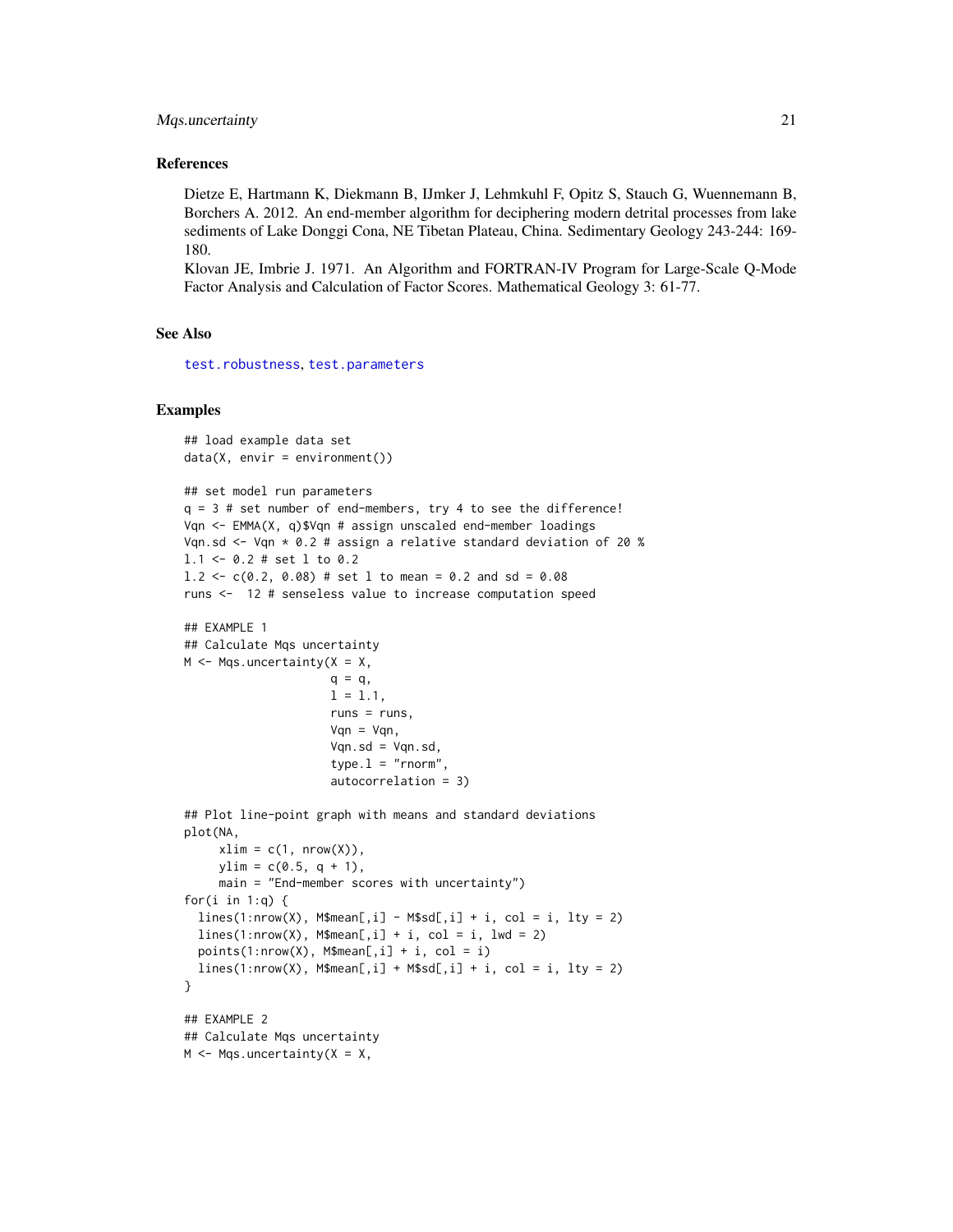#### <span id="page-20-0"></span>Mqs.uncertainty 21

#### References

Dietze E, Hartmann K, Diekmann B, IJmker J, Lehmkuhl F, Opitz S, Stauch G, Wuennemann B, Borchers A. 2012. An end-member algorithm for deciphering modern detrital processes from lake sediments of Lake Donggi Cona, NE Tibetan Plateau, China. Sedimentary Geology 243-244: 169- 180.

Klovan JE, Imbrie J. 1971. An Algorithm and FORTRAN-IV Program for Large-Scale Q-Mode Factor Analysis and Calculation of Factor Scores. Mathematical Geology 3: 61-77.

#### See Also

[test.robustness](#page-31-1), [test.parameters](#page-28-1)

```
## load example data set
data(X, envir = environment())
```

```
## set model run parameters
q = 3 # set number of end-members, try 4 to see the difference!
Vqn <- EMMA(X, q)$Vqn # assign unscaled end-member loadings
Vqn.sd \leq Vqn * 0.2 # assign a relative standard deviation of 20 %
l.1 <- 0.2 # set l to 0.2
1.2 \leq c(0.2, 0.08) # set 1 to mean = 0.2 and sd = 0.08
runs <- 12 # senseless value to increase computation speed
```

```
## EXAMPLE 1
## Calculate Mqs uncertainty
M \leq -Mqs. uncertainty (X = X,
```

```
q = q,
1 = 1.1,
runs = runs,
Van = Van,
Vqn.sd = Vqn.sd,type.1 = "rnorm",
autocorrelation = 3)
```

```
## Plot line-point graph with means and standard deviations
plot(NA,
     xlim = c(1, nrow(X)),ylim = c(0.5, q + 1),main = "End-member scores with uncertainty")
for(i in 1:q) {
  lines(1: nrow(X), M$mean[, i] - M$sd[, i] + i, col = i, lty = 2)lines(1: nrow(X), M$mean[, i] + i, col = i, lwd = 2)points(1:nrow(X), M$mean[, i] + i, col = i)
  lines(1: nrow(X), M$mean[, i] + M$sd[, i] + i, col = i, lty = 2)}
## EXAMPLE 2
## Calculate Mqs uncertainty
M \leq -Mqs. uncertainty(X = X,
```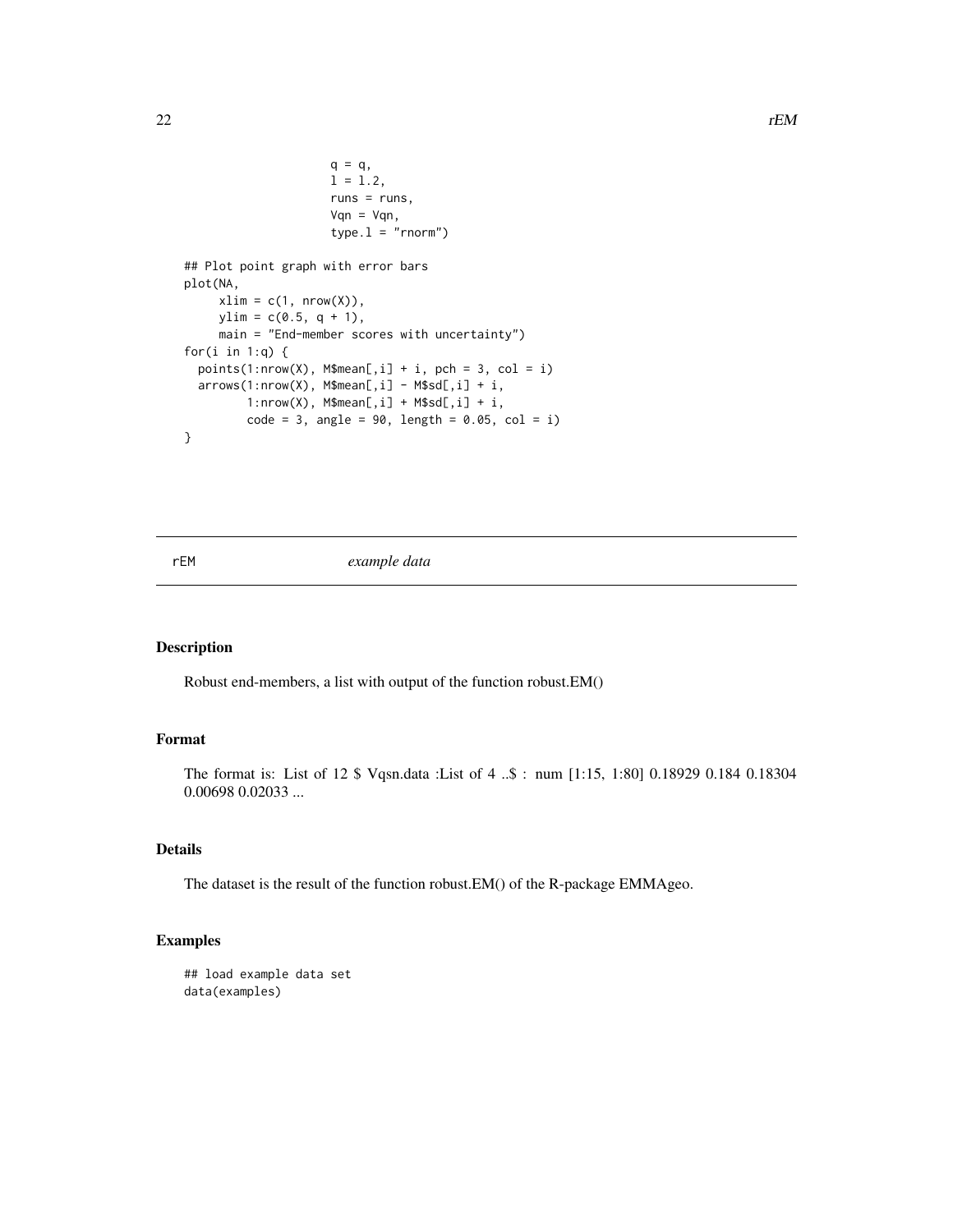```
q = q,
                     1 = 1.2,
                     runs = runs,
                     Vqn = Vqn,
                     type.1 = "rnorm")## Plot point graph with error bars
plot(NA,
     xlim = c(1, nrow(X)),ylim = c(0.5, q + 1),main = "End-member scores with uncertainty")
for(i in 1:q) {
 points(1:now(X), M$mean[, i] + i, pch = 3, col = i)arrows(1:nrow(X), M$mean[, i] - M$sd[, i] + i,1:nrow(X), M$mean[, i] + M$sd[, i] + i,
        code = 3, angle = 90, length = 0.05, col = i)
}
```
rEM *example data*

#### Description

Robust end-members, a list with output of the function robust.EM()

### Format

The format is: List of 12 \$ Vqsn.data :List of 4 ..\$ : num [1:15, 1:80] 0.18929 0.184 0.18304 0.00698 0.02033 ...

# Details

The dataset is the result of the function robust.EM() of the R-package EMMAgeo.

```
## load example data set
data(examples)
```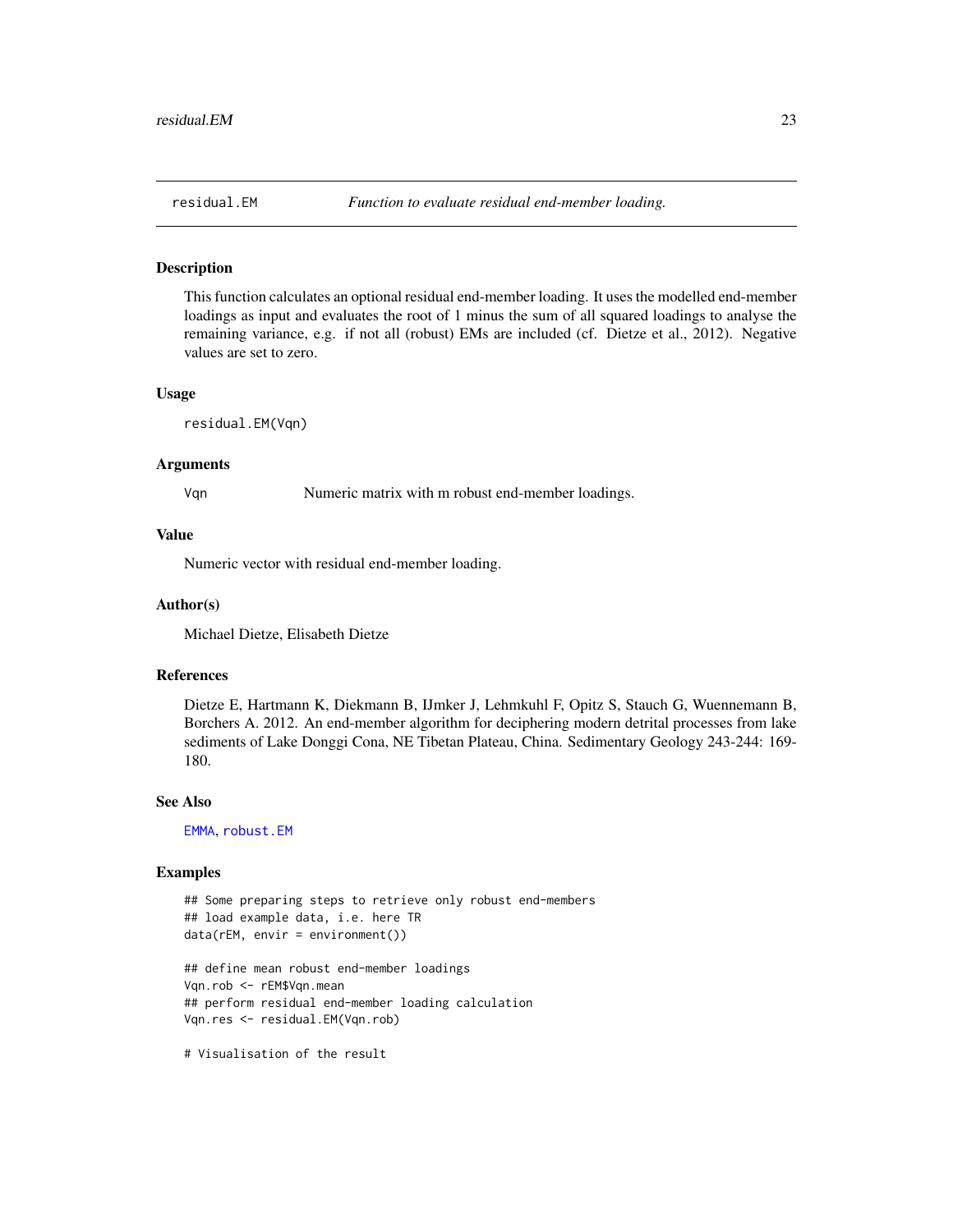#### <span id="page-22-0"></span>Description

This function calculates an optional residual end-member loading. It uses the modelled end-member loadings as input and evaluates the root of 1 minus the sum of all squared loadings to analyse the remaining variance, e.g. if not all (robust) EMs are included (cf. Dietze et al., 2012). Negative values are set to zero.

#### Usage

residual.EM(Vqn)

#### Arguments

Vqn Numeric matrix with m robust end-member loadings.

# Value

Numeric vector with residual end-member loading.

#### Author(s)

Michael Dietze, Elisabeth Dietze

# References

Dietze E, Hartmann K, Diekmann B, IJmker J, Lehmkuhl F, Opitz S, Stauch G, Wuennemann B, Borchers A. 2012. An end-member algorithm for deciphering modern detrital processes from lake sediments of Lake Donggi Cona, NE Tibetan Plateau, China. Sedimentary Geology 243-244: 169- 180.

#### See Also

[EMMA](#page-6-1), [robust.EM](#page-23-1)

```
## Some preparing steps to retrieve only robust end-members
## load example data, i.e. here TR
data(rEM, envir = environment())
## define mean robust end-member loadings
Vqn.rob <- rEM$Vqn.mean
## perform residual end-member loading calculation
Vqn.res <- residual.EM(Vqn.rob)
# Visualisation of the result
```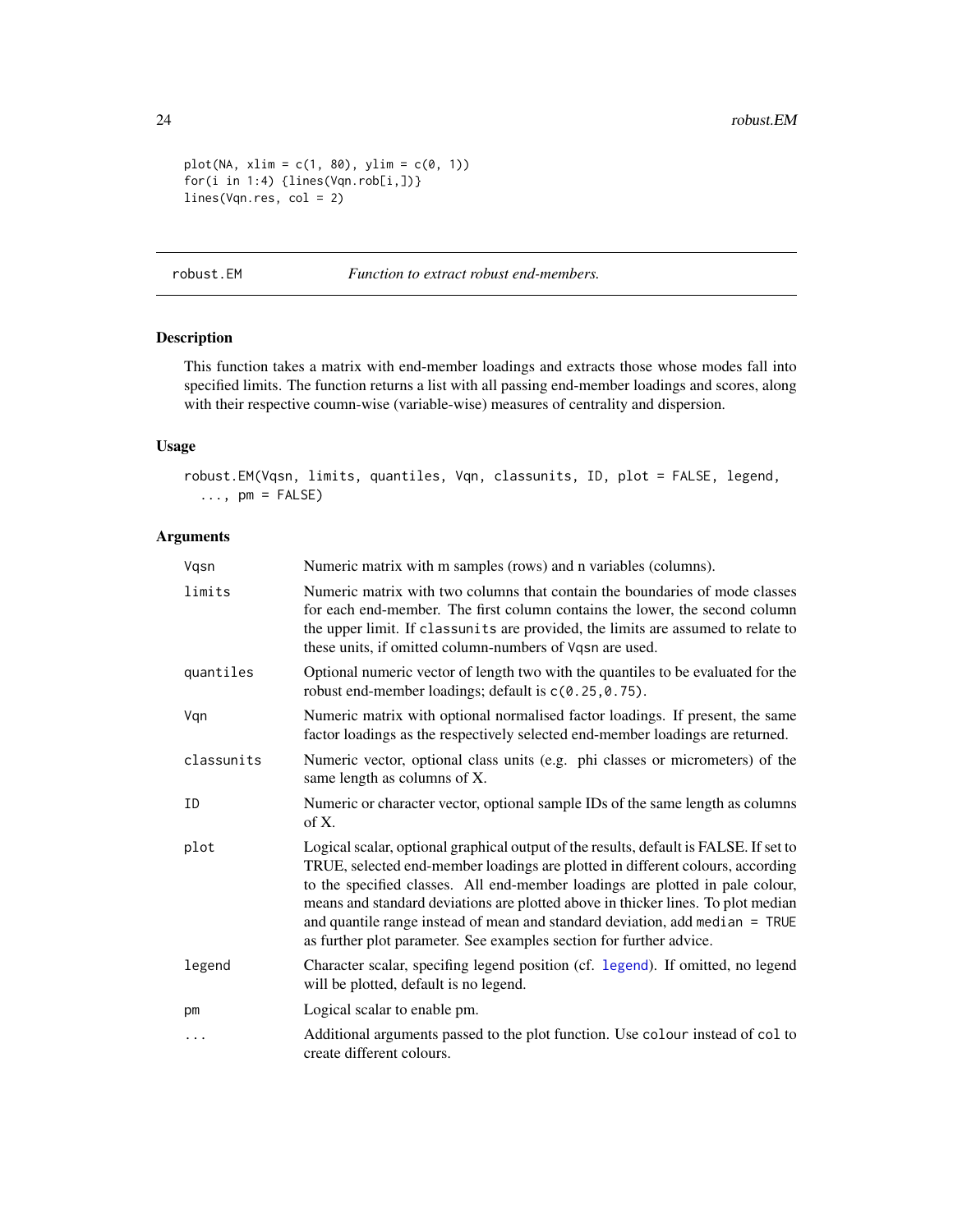```
plot(NA, xlim = c(1, 80), ylim = c(0, 1))for(i in 1:4) {lines(Vqn.rob[i,])}
lines(Vqn.res, col = 2)
```
<span id="page-23-1"></span>robust.EM *Function to extract robust end-members.*

# Description

This function takes a matrix with end-member loadings and extracts those whose modes fall into specified limits. The function returns a list with all passing end-member loadings and scores, along with their respective coumn-wise (variable-wise) measures of centrality and dispersion.

# Usage

```
robust.EM(Vqsn, limits, quantiles, Vqn, classunits, ID, plot = FALSE, legend,
  \ldots, pm = FALSE)
```
# Arguments

| Vqsn       | Numeric matrix with m samples (rows) and n variables (columns).                                                                                                                                                                                                                                                                                                                                                                                                                                       |
|------------|-------------------------------------------------------------------------------------------------------------------------------------------------------------------------------------------------------------------------------------------------------------------------------------------------------------------------------------------------------------------------------------------------------------------------------------------------------------------------------------------------------|
| limits     | Numeric matrix with two columns that contain the boundaries of mode classes<br>for each end-member. The first column contains the lower, the second column<br>the upper limit. If classunits are provided, the limits are assumed to relate to<br>these units, if omitted column-numbers of Vqsn are used.                                                                                                                                                                                            |
| quantiles  | Optional numeric vector of length two with the quantiles to be evaluated for the<br>robust end-member loadings; default is $c(0.25, 0.75)$ .                                                                                                                                                                                                                                                                                                                                                          |
| Vqn        | Numeric matrix with optional normalised factor loadings. If present, the same<br>factor loadings as the respectively selected end-member loadings are returned.                                                                                                                                                                                                                                                                                                                                       |
| classunits | Numeric vector, optional class units (e.g. phi classes or micrometers) of the<br>same length as columns of X.                                                                                                                                                                                                                                                                                                                                                                                         |
| ID         | Numeric or character vector, optional sample IDs of the same length as columns<br>of X.                                                                                                                                                                                                                                                                                                                                                                                                               |
| plot       | Logical scalar, optional graphical output of the results, default is FALSE. If set to<br>TRUE, selected end-member loadings are plotted in different colours, according<br>to the specified classes. All end-member loadings are plotted in pale colour,<br>means and standard deviations are plotted above in thicker lines. To plot median<br>and quantile range instead of mean and standard deviation, add median $=$ TRUE<br>as further plot parameter. See examples section for further advice. |
| legend     | Character scalar, specifing legend position (cf. legend). If omitted, no legend<br>will be plotted, default is no legend.                                                                                                                                                                                                                                                                                                                                                                             |
| pm         | Logical scalar to enable pm.                                                                                                                                                                                                                                                                                                                                                                                                                                                                          |
| .          | Additional arguments passed to the plot function. Use colour instead of col to<br>create different colours.                                                                                                                                                                                                                                                                                                                                                                                           |

<span id="page-23-0"></span>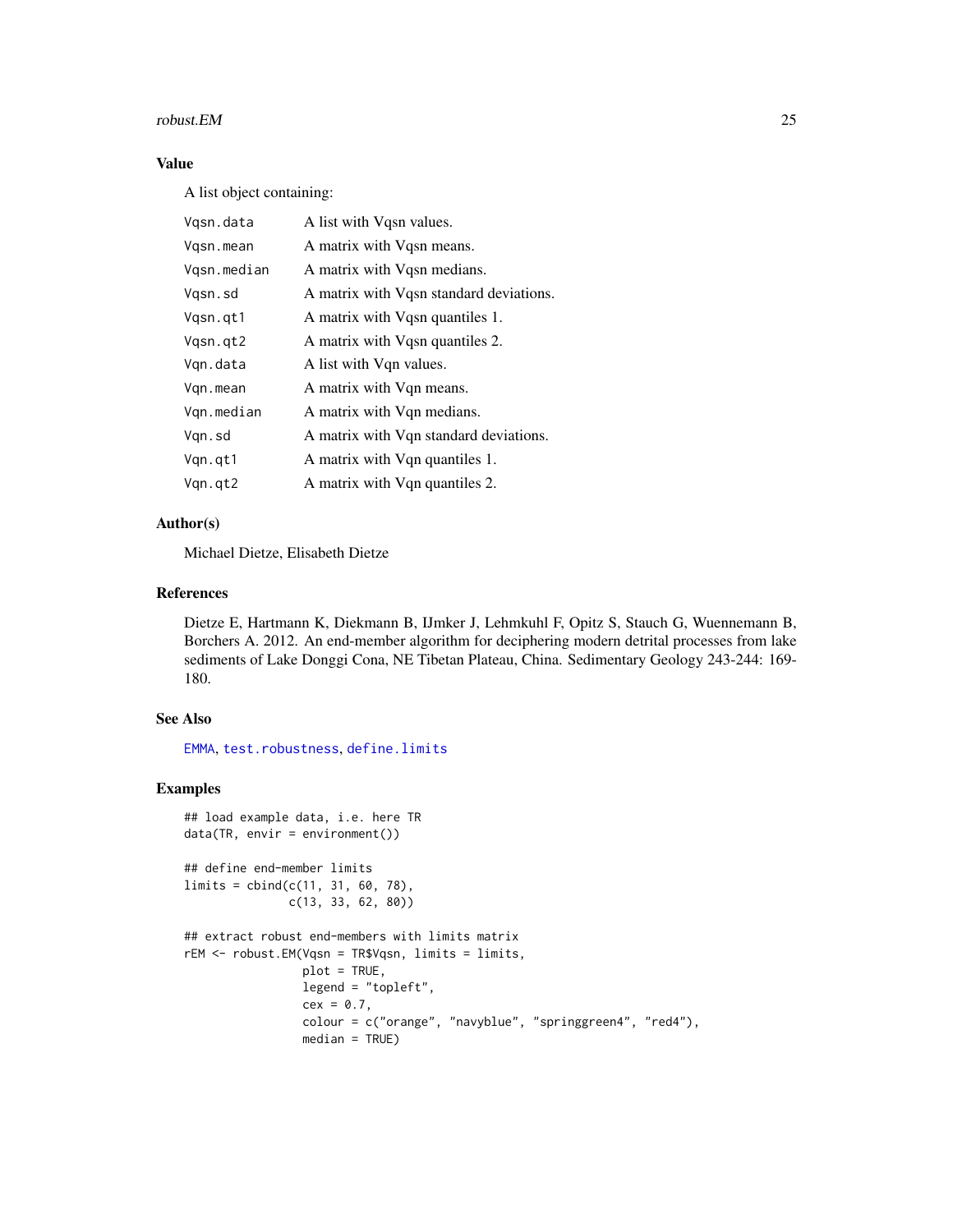#### <span id="page-24-0"></span>robust.EM 25

# Value

A list object containing:

| A list with Vqsn values.                |
|-----------------------------------------|
| A matrix with Vgsn means.               |
| A matrix with Vgsn medians.             |
| A matrix with Vqsn standard deviations. |
| A matrix with Vgsn quantiles 1.         |
| A matrix with Vgsn quantiles 2.         |
| A list with Vqn values.                 |
| A matrix with Vqn means.                |
| A matrix with Vqn medians.              |
| A matrix with Vqn standard deviations.  |
| A matrix with Vqn quantiles 1.          |
| A matrix with Vqn quantiles 2.          |
|                                         |

# Author(s)

Michael Dietze, Elisabeth Dietze

# References

Dietze E, Hartmann K, Diekmann B, IJmker J, Lehmkuhl F, Opitz S, Stauch G, Wuennemann B, Borchers A. 2012. An end-member algorithm for deciphering modern detrital processes from lake sediments of Lake Donggi Cona, NE Tibetan Plateau, China. Sedimentary Geology 243-244: 169- 180.

# See Also

[EMMA](#page-6-1), [test.robustness](#page-31-1), [define.limits](#page-5-1)

```
## load example data, i.e. here TR
data(TR, envir = environment())## define end-member limits
limits = cbind(c(11, 31, 60, 78),
               c(13, 33, 62, 80))
## extract robust end-members with limits matrix
rEM <- robust.EM(Vqsn = TR$Vqsn, limits = limits,
                 plot = TRUE,
                 legend = "topleft",
                 cex = 0.7,
                 colour = c("orange", "navyblue", "springgreen4", "red4"),
                 median = TRUE)
```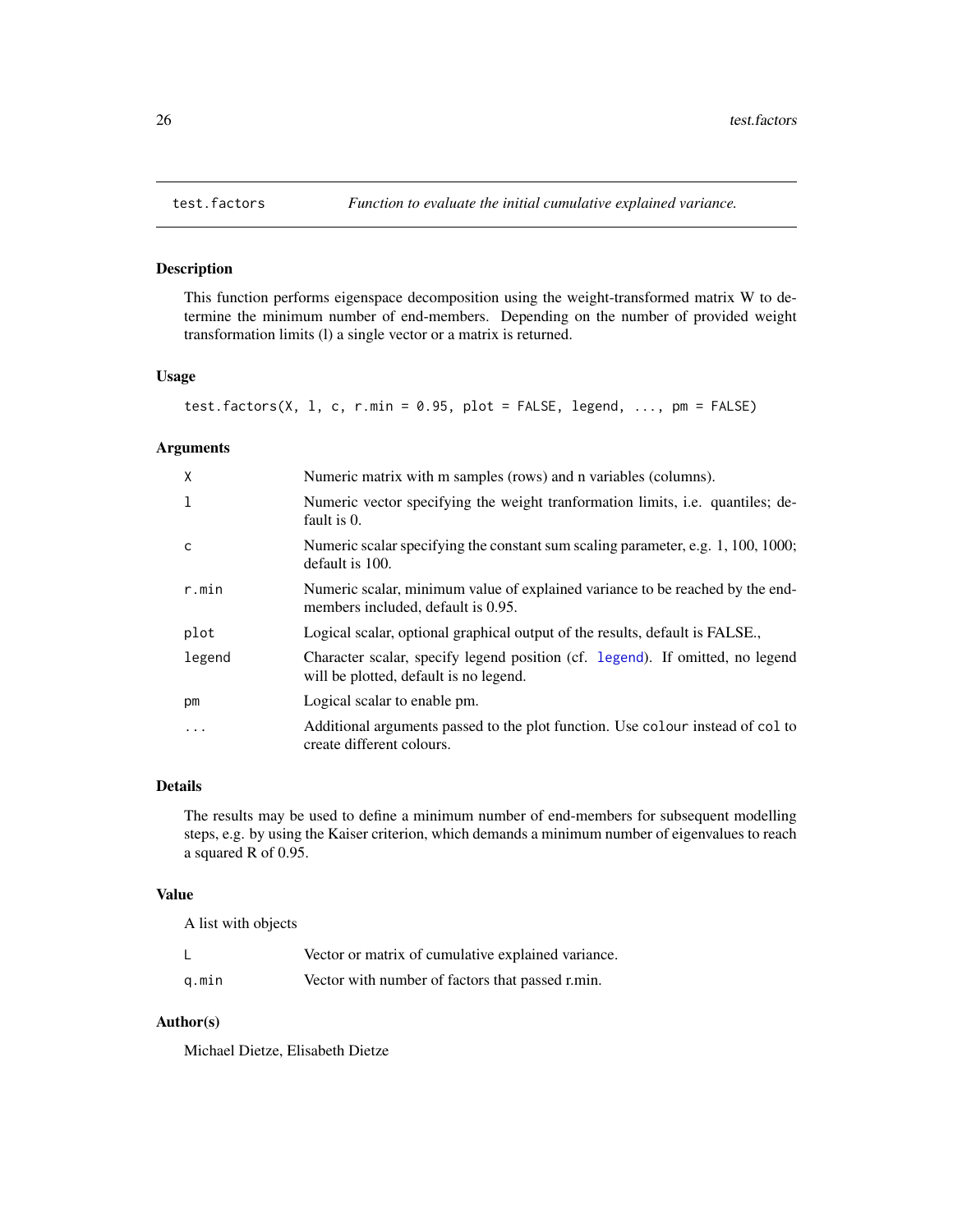# Description

This function performs eigenspace decomposition using the weight-transformed matrix W to determine the minimum number of end-members. Depending on the number of provided weight transformation limits (l) a single vector or a matrix is returned.

# Usage

test.factors(X, 1, c, r.min = 0.95, plot = FALSE, legend, ..., pm = FALSE)

# Arguments

| X      | Numeric matrix with m samples (rows) and n variables (columns).                                                         |
|--------|-------------------------------------------------------------------------------------------------------------------------|
| -1     | Numeric vector specifying the weight tranformation limits, <i>i.e.</i> quantiles; de-<br>fault is 0.                    |
| C      | Numeric scalar specifying the constant sum scaling parameter, e.g. 1, 100, 1000;<br>default is 100.                     |
| r.min  | Numeric scalar, minimum value of explained variance to be reached by the end-<br>members included, default is 0.95.     |
| plot   | Logical scalar, optional graphical output of the results, default is FALSE.,                                            |
| legend | Character scalar, specify legend position (cf. legend). If omitted, no legend<br>will be plotted, default is no legend. |
| pm     | Logical scalar to enable pm.                                                                                            |
| .      | Additional arguments passed to the plot function. Use colour instead of col to<br>create different colours.             |

# Details

The results may be used to define a minimum number of end-members for subsequent modelling steps, e.g. by using the Kaiser criterion, which demands a minimum number of eigenvalues to reach a squared R of 0.95.

#### Value

A list with objects

|       | Vector or matrix of cumulative explained variance. |
|-------|----------------------------------------------------|
| q.min | Vector with number of factors that passed r.min.   |

# Author(s)

Michael Dietze, Elisabeth Dietze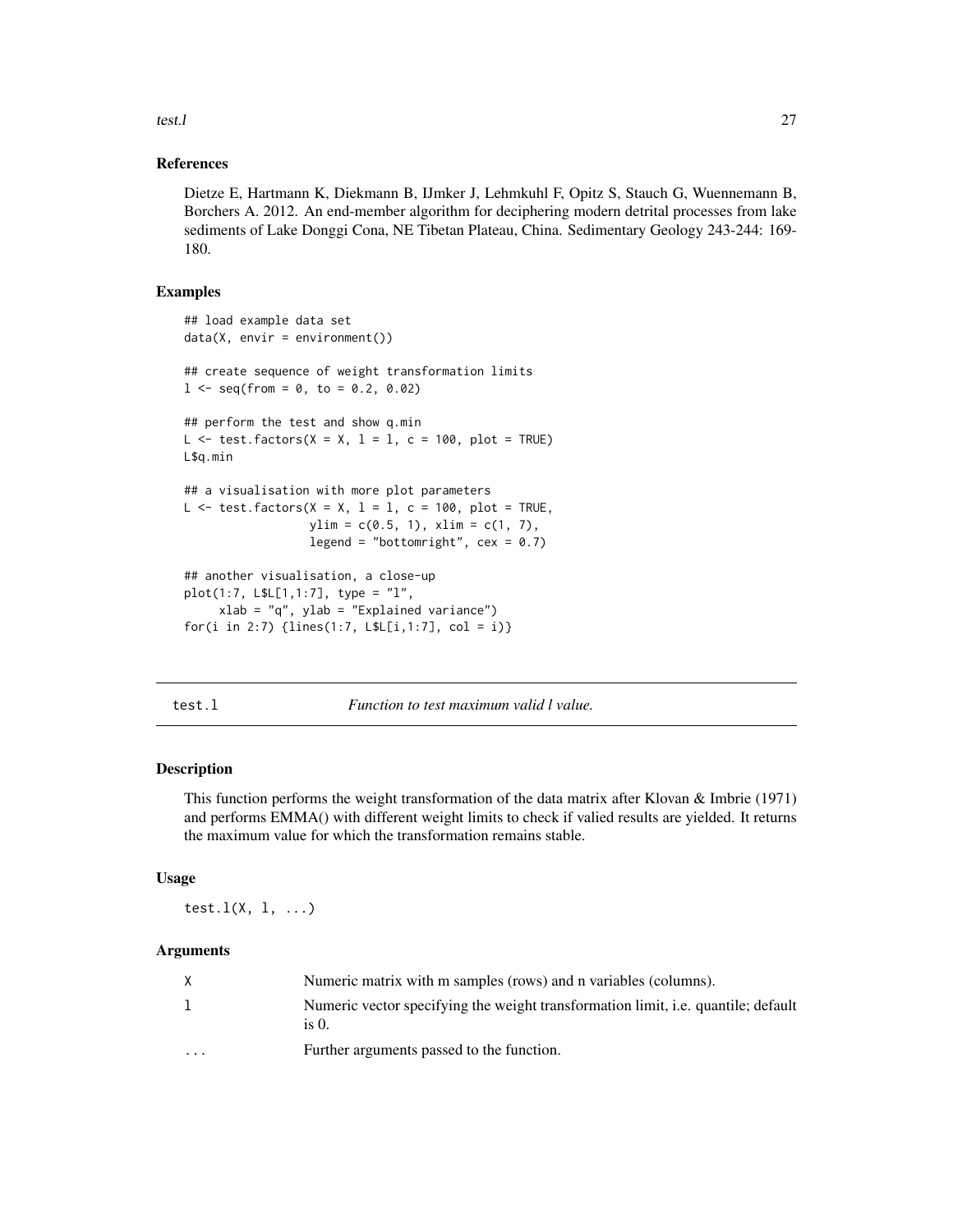<span id="page-26-0"></span>test.l 27

# References

Dietze E, Hartmann K, Diekmann B, IJmker J, Lehmkuhl F, Opitz S, Stauch G, Wuennemann B, Borchers A. 2012. An end-member algorithm for deciphering modern detrital processes from lake sediments of Lake Donggi Cona, NE Tibetan Plateau, China. Sedimentary Geology 243-244: 169- 180.

# Examples

```
## load example data set
data(X, envir = environment())## create sequence of weight transformation limits
1 \leq -\text{seq}(\text{from} = 0, \text{to} = 0.2, 0.02)## perform the test and show q.min
L \le - test.factors(X = X, 1 = 1, c = 100, plot = TRUE)
L$q.min
## a visualisation with more plot parameters
L \le test. factors(X = X, 1 = 1, c = 100, plot = TRUE,
                   ylim = c(0.5, 1), xlim = c(1, 7),legend = "bottomright", cex = 0.7)
## another visualisation, a close-up
plot(1:7, L$L[1,1:7], type = "l",
     xlab = "q", ylab = "Explained variance")for(i in 2:7) {lines(1:7, LSL[i,1:7], col = i)}
```
#### test.l *Function to test maximum valid l value.*

# Description

This function performs the weight transformation of the data matrix after Klovan & Imbrie (1971) and performs EMMA() with different weight limits to check if valied results are yielded. It returns the maximum value for which the transformation remains stable.

#### Usage

test. $l(X, 1, \ldots)$ 

### **Arguments**

| X        | Numeric matrix with m samples (rows) and n variables (columns).                                   |
|----------|---------------------------------------------------------------------------------------------------|
|          | Numeric vector specifying the weight transformation limit, <i>i.e.</i> quantile; default<br>is 0. |
| $\cdots$ | Further arguments passed to the function.                                                         |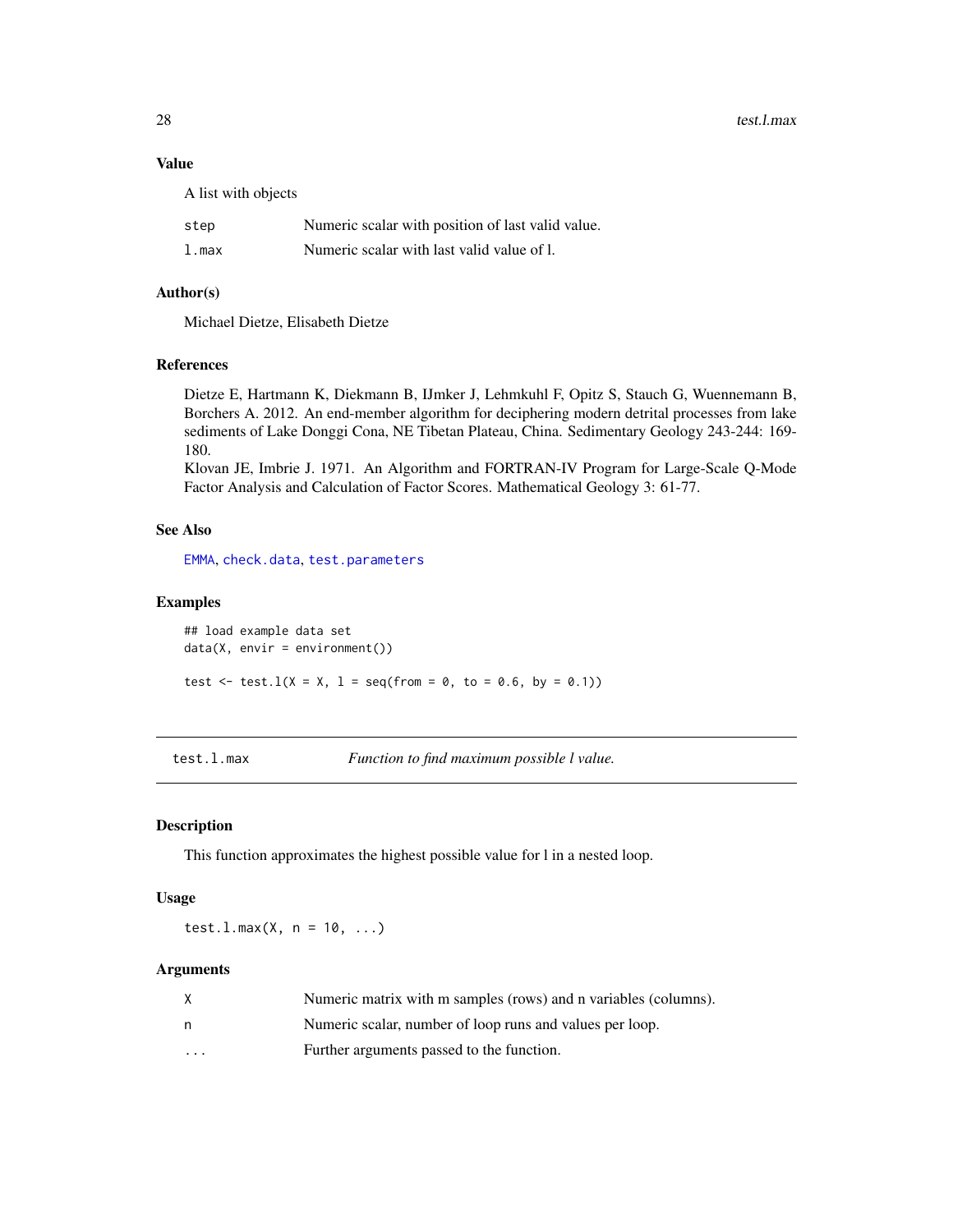28 test.l.max

# Value

A list with objects

| step  | Numeric scalar with position of last valid value. |
|-------|---------------------------------------------------|
| l.max | Numeric scalar with last valid value of l.        |

# Author(s)

Michael Dietze, Elisabeth Dietze

#### References

Dietze E, Hartmann K, Diekmann B, IJmker J, Lehmkuhl F, Opitz S, Stauch G, Wuennemann B, Borchers A. 2012. An end-member algorithm for deciphering modern detrital processes from lake sediments of Lake Donggi Cona, NE Tibetan Plateau, China. Sedimentary Geology 243-244: 169- 180.

Klovan JE, Imbrie J. 1971. An Algorithm and FORTRAN-IV Program for Large-Scale Q-Mode Factor Analysis and Calculation of Factor Scores. Mathematical Geology 3: 61-77.

# See Also

[EMMA](#page-6-1), [check.data](#page-1-1), [test.parameters](#page-28-1)

# Examples

## load example data set  $data(X, envir = environment())$ test  $\le$  test.  $l(X = X, l = seq(from = 0, to = 0.6, by = 0.1))$ 

<span id="page-27-1"></span>

#### test.l.max *Function to find maximum possible l value.*

#### Description

This function approximates the highest possible value for l in a nested loop.

# Usage

test.l.max(X,  $n = 10, ...$ )

# Arguments

| X.                      | Numeric matrix with m samples (rows) and n variables (columns). |
|-------------------------|-----------------------------------------------------------------|
| n                       | Numeric scalar, number of loop runs and values per loop.        |
| $\cdot$ $\cdot$ $\cdot$ | Further arguments passed to the function.                       |

<span id="page-27-0"></span>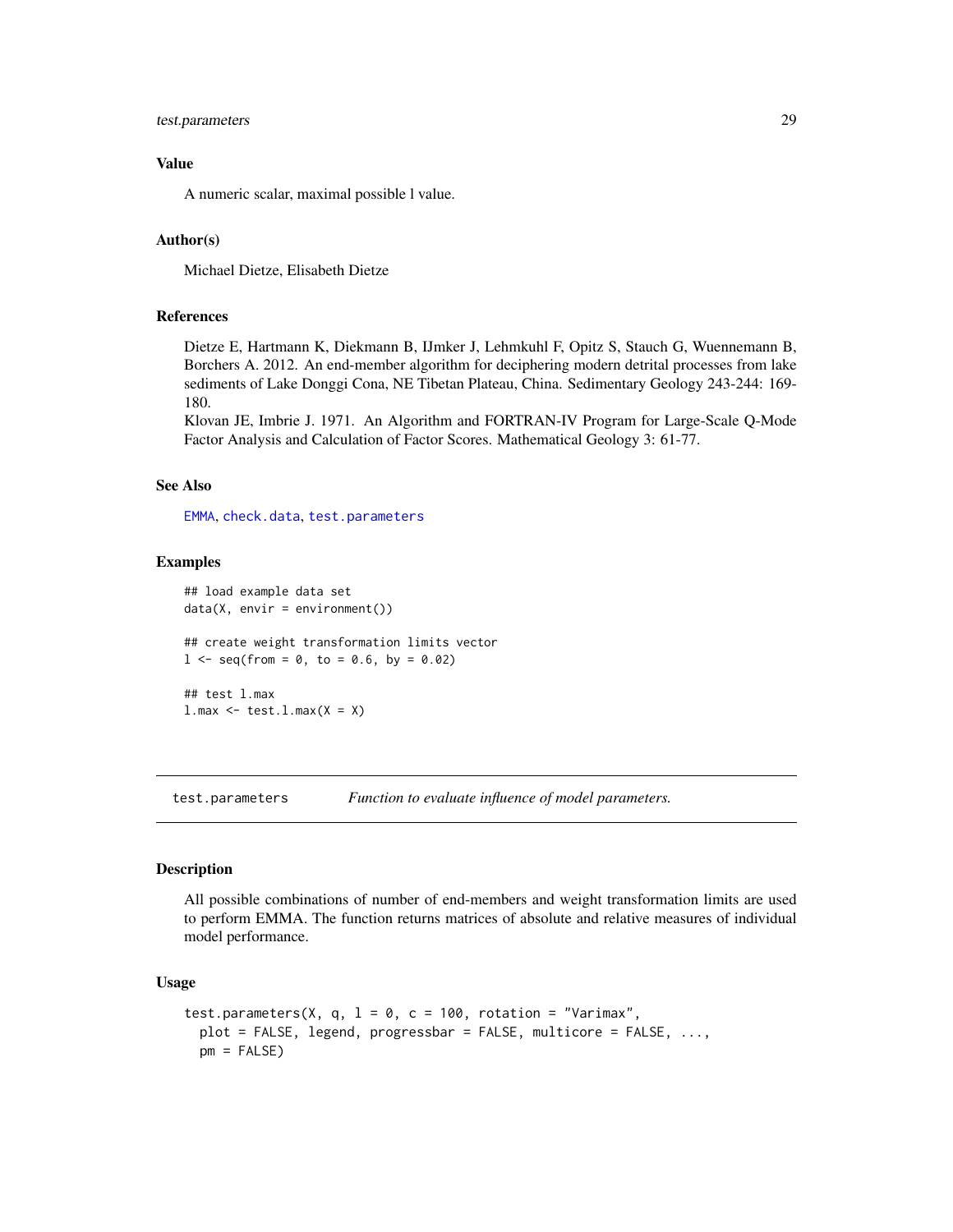# <span id="page-28-0"></span>test.parameters 29

# Value

A numeric scalar, maximal possible l value.

# Author(s)

Michael Dietze, Elisabeth Dietze

#### References

Dietze E, Hartmann K, Diekmann B, IJmker J, Lehmkuhl F, Opitz S, Stauch G, Wuennemann B, Borchers A. 2012. An end-member algorithm for deciphering modern detrital processes from lake sediments of Lake Donggi Cona, NE Tibetan Plateau, China. Sedimentary Geology 243-244: 169- 180.

Klovan JE, Imbrie J. 1971. An Algorithm and FORTRAN-IV Program for Large-Scale Q-Mode Factor Analysis and Calculation of Factor Scores. Mathematical Geology 3: 61-77.

#### See Also

[EMMA](#page-6-1), [check.data](#page-1-1), [test.parameters](#page-28-1)

#### Examples

```
## load example data set
data(X, envir = environment())## create weight transformation limits vector
1 \leq - seq(from = 0, to = 0.6, by = 0.02)
## test l.max
l.max \leftarrow test.l.max(X = X)
```
<span id="page-28-1"></span>test.parameters *Function to evaluate influence of model parameters.*

#### Description

All possible combinations of number of end-members and weight transformation limits are used to perform EMMA. The function returns matrices of absolute and relative measures of individual model performance.

#### Usage

```
test.parameters(X, q, l = 0, c = 100, rotation = "Varimax",
 plot = FALSE, legend, progressbar = FALSE, multicore = FALSE, ...,
 pm = FALSE
```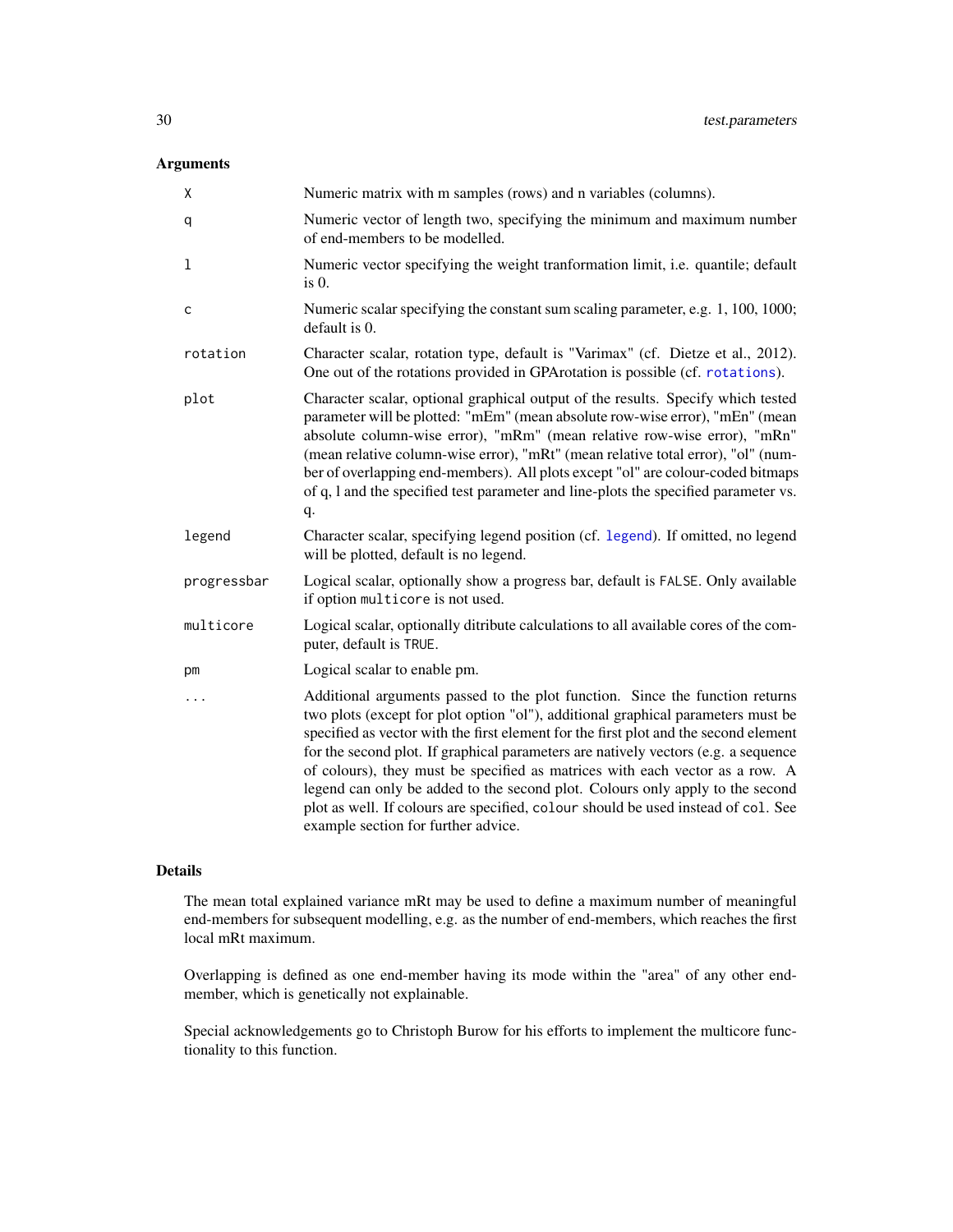# <span id="page-29-0"></span>Arguments

| X           | Numeric matrix with m samples (rows) and n variables (columns).                                                                                                                                                                                                                                                                                                                                                                                                                                                                                                                                                                             |
|-------------|---------------------------------------------------------------------------------------------------------------------------------------------------------------------------------------------------------------------------------------------------------------------------------------------------------------------------------------------------------------------------------------------------------------------------------------------------------------------------------------------------------------------------------------------------------------------------------------------------------------------------------------------|
| q           | Numeric vector of length two, specifying the minimum and maximum number<br>of end-members to be modelled.                                                                                                                                                                                                                                                                                                                                                                                                                                                                                                                                   |
| 1           | Numeric vector specifying the weight tranformation limit, i.e. quantile; default<br>$is0$ .                                                                                                                                                                                                                                                                                                                                                                                                                                                                                                                                                 |
| с           | Numeric scalar specifying the constant sum scaling parameter, e.g. 1, 100, 1000;<br>default is 0.                                                                                                                                                                                                                                                                                                                                                                                                                                                                                                                                           |
| rotation    | Character scalar, rotation type, default is "Varimax" (cf. Dietze et al., 2012).<br>One out of the rotations provided in GPArotation is possible (cf. rotations).                                                                                                                                                                                                                                                                                                                                                                                                                                                                           |
| plot        | Character scalar, optional graphical output of the results. Specify which tested<br>parameter will be plotted: "mEm" (mean absolute row-wise error), "mEn" (mean<br>absolute column-wise error), "mRm" (mean relative row-wise error), "mRn"<br>(mean relative column-wise error), "mRt" (mean relative total error), "ol" (num-<br>ber of overlapping end-members). All plots except "ol" are colour-coded bitmaps<br>of q, l and the specified test parameter and line-plots the specified parameter vs.<br>q.                                                                                                                            |
| legend      | Character scalar, specifying legend position (cf. legend). If omitted, no legend<br>will be plotted, default is no legend.                                                                                                                                                                                                                                                                                                                                                                                                                                                                                                                  |
| progressbar | Logical scalar, optionally show a progress bar, default is FALSE. Only available<br>if option multicore is not used.                                                                                                                                                                                                                                                                                                                                                                                                                                                                                                                        |
| multicore   | Logical scalar, optionally ditribute calculations to all available cores of the com-<br>puter, default is TRUE.                                                                                                                                                                                                                                                                                                                                                                                                                                                                                                                             |
| pm          | Logical scalar to enable pm.                                                                                                                                                                                                                                                                                                                                                                                                                                                                                                                                                                                                                |
| .           | Additional arguments passed to the plot function. Since the function returns<br>two plots (except for plot option "ol"), additional graphical parameters must be<br>specified as vector with the first element for the first plot and the second element<br>for the second plot. If graphical parameters are natively vectors (e.g. a sequence<br>of colours), they must be specified as matrices with each vector as a row. A<br>legend can only be added to the second plot. Colours only apply to the second<br>plot as well. If colours are specified, colour should be used instead of col. See<br>example section for further advice. |

#### Details

The mean total explained variance mRt may be used to define a maximum number of meaningful end-members for subsequent modelling, e.g. as the number of end-members, which reaches the first local mRt maximum.

Overlapping is defined as one end-member having its mode within the "area" of any other endmember, which is genetically not explainable.

Special acknowledgements go to Christoph Burow for his efforts to implement the multicore functionality to this function.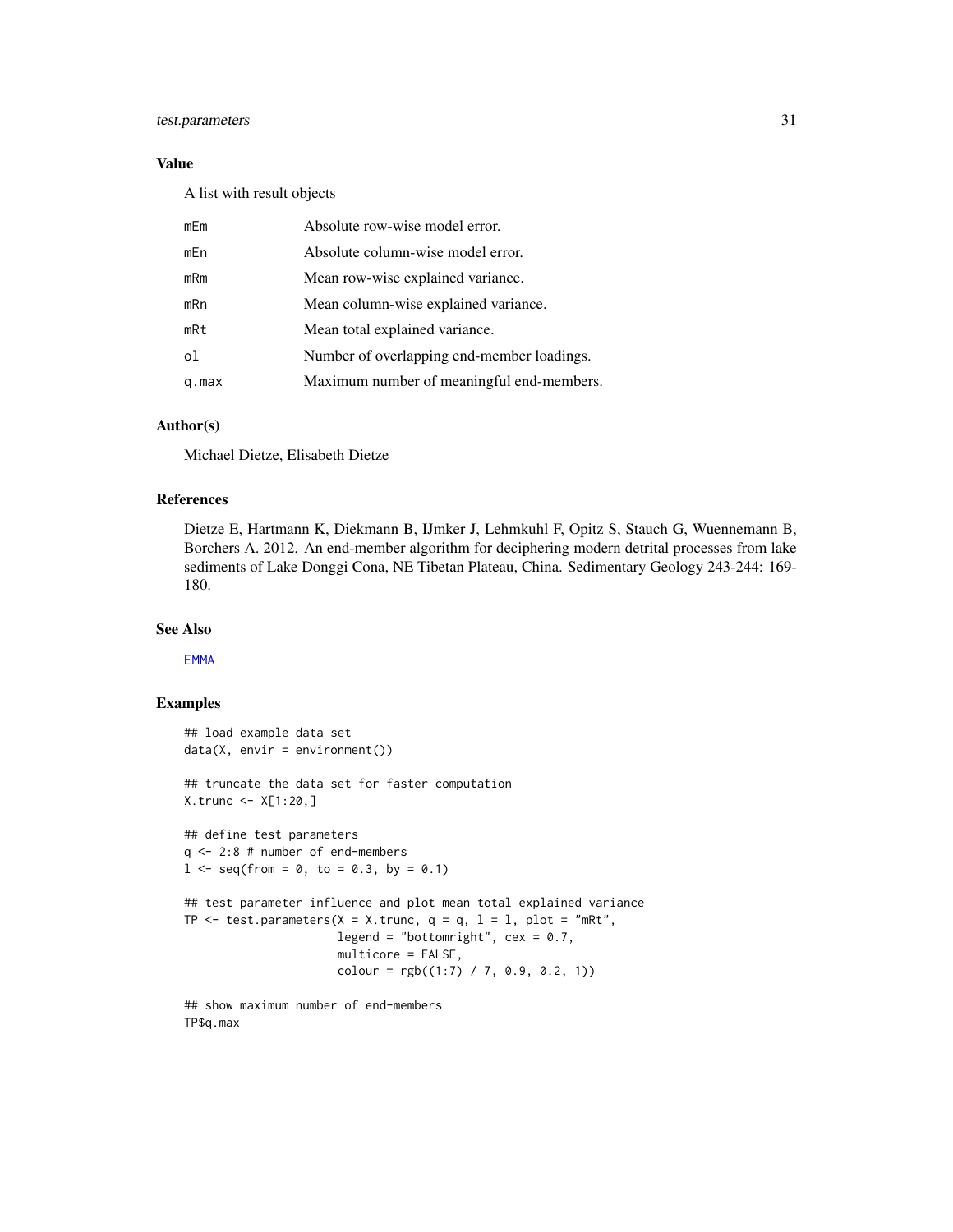# <span id="page-30-0"></span>test.parameters 31

# Value

A list with result objects

| mEm   | Absolute row-wise model error.             |
|-------|--------------------------------------------|
| mEn   | Absolute column-wise model error.          |
| mRm   | Mean row-wise explained variance.          |
| mRn   | Mean column-wise explained variance.       |
| mRt   | Mean total explained variance.             |
| ol    | Number of overlapping end-member loadings. |
| q.max | Maximum number of meaningful end-members.  |

# Author(s)

Michael Dietze, Elisabeth Dietze

#### References

Dietze E, Hartmann K, Diekmann B, IJmker J, Lehmkuhl F, Opitz S, Stauch G, Wuennemann B, Borchers A. 2012. An end-member algorithm for deciphering modern detrital processes from lake sediments of Lake Donggi Cona, NE Tibetan Plateau, China. Sedimentary Geology 243-244: 169- 180.

# See Also

[EMMA](#page-6-1)

```
## load example data set
data(X, envir = environment())
## truncate the data set for faster computation
X.trunc <- X[1:20,]
## define test parameters
q <- 2:8 # number of end-members
1 \leq - seq(from = 0, to = 0.3, by = 0.1)
## test parameter influence and plot mean total explained variance
TP \le test.parameters(X = X.trunc, q = q, 1 = 1, plot = "mRt",
                       legend = "bottomright", cex = 0.7,
                       multicore = FALSE,
                       \text{colour} = \text{rgb}((1:7) / 7, 0.9, 0.2, 1))
```

```
## show maximum number of end-members
TP$q.max
```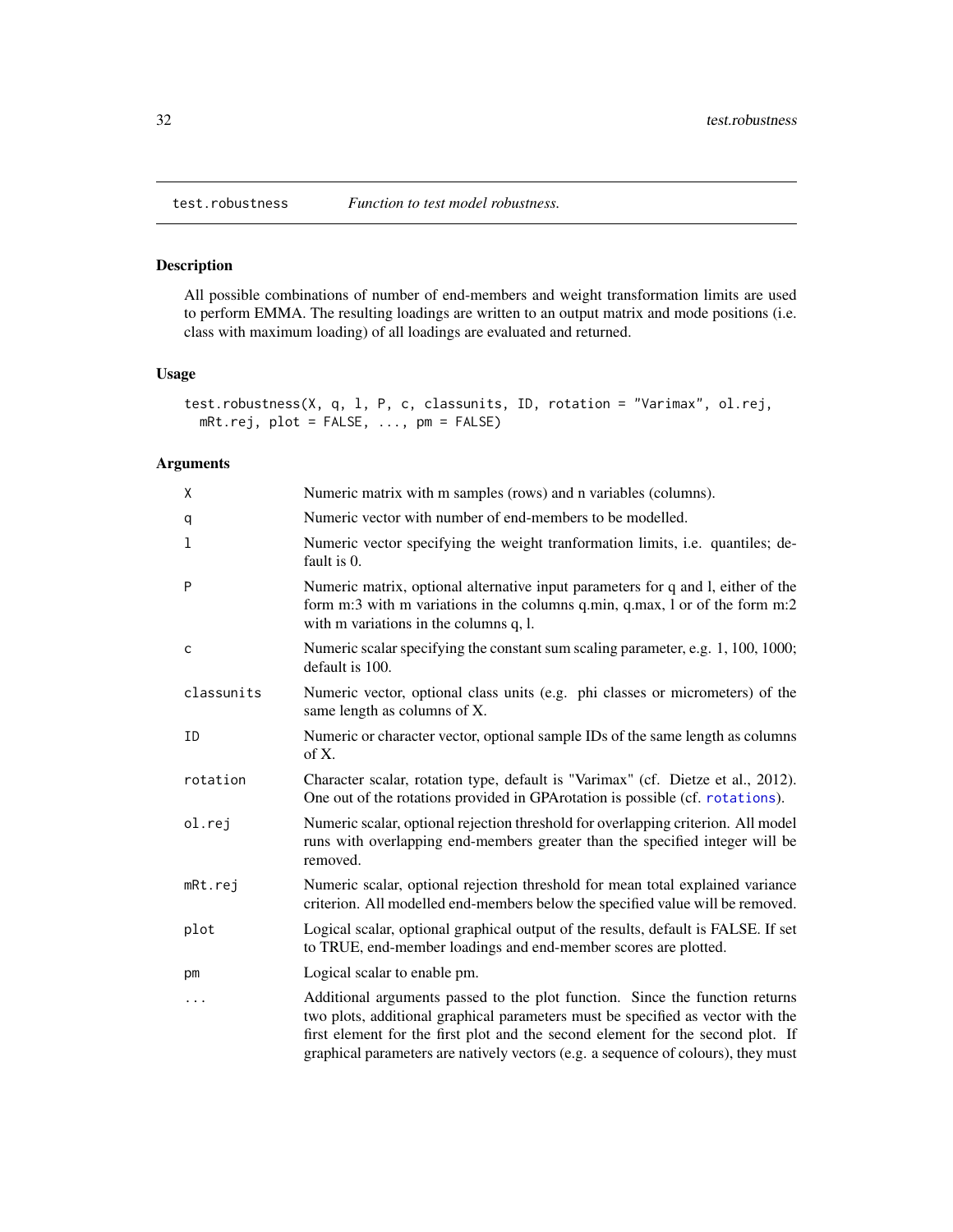<span id="page-31-1"></span><span id="page-31-0"></span>

# Description

All possible combinations of number of end-members and weight transformation limits are used to perform EMMA. The resulting loadings are written to an output matrix and mode positions (i.e. class with maximum loading) of all loadings are evaluated and returned.

# Usage

```
test.robustness(X, q, l, P, c, classunits, ID, rotation = "Varimax", ol.rej,
 mRt.rej, plot = FALSE, ..., pm = FALSE)
```
# Arguments

| Χ          | Numeric matrix with m samples (rows) and n variables (columns).                                                                                                                                                                                                                                                                         |
|------------|-----------------------------------------------------------------------------------------------------------------------------------------------------------------------------------------------------------------------------------------------------------------------------------------------------------------------------------------|
| q          | Numeric vector with number of end-members to be modelled.                                                                                                                                                                                                                                                                               |
| 1          | Numeric vector specifying the weight tranformation limits, i.e. quantiles; de-<br>fault is 0.                                                                                                                                                                                                                                           |
| P          | Numeric matrix, optional alternative input parameters for q and l, either of the<br>form m:3 with m variations in the columns q.min, q.max, 1 or of the form m:2<br>with m variations in the columns q, l.                                                                                                                              |
| C          | Numeric scalar specifying the constant sum scaling parameter, e.g. 1, 100, 1000;<br>default is 100.                                                                                                                                                                                                                                     |
| classunits | Numeric vector, optional class units (e.g. phi classes or micrometers) of the<br>same length as columns of X.                                                                                                                                                                                                                           |
| ID         | Numeric or character vector, optional sample IDs of the same length as columns<br>of $X$ .                                                                                                                                                                                                                                              |
| rotation   | Character scalar, rotation type, default is "Varimax" (cf. Dietze et al., 2012).<br>One out of the rotations provided in GPA rotation is possible (cf. rotations).                                                                                                                                                                      |
| ol.rej     | Numeric scalar, optional rejection threshold for overlapping criterion. All model<br>runs with overlapping end-members greater than the specified integer will be<br>removed.                                                                                                                                                           |
| mRt.rej    | Numeric scalar, optional rejection threshold for mean total explained variance<br>criterion. All modelled end-members below the specified value will be removed.                                                                                                                                                                        |
| plot       | Logical scalar, optional graphical output of the results, default is FALSE. If set<br>to TRUE, end-member loadings and end-member scores are plotted.                                                                                                                                                                                   |
| pm         | Logical scalar to enable pm.                                                                                                                                                                                                                                                                                                            |
| $\cdots$   | Additional arguments passed to the plot function. Since the function returns<br>two plots, additional graphical parameters must be specified as vector with the<br>first element for the first plot and the second element for the second plot. If<br>graphical parameters are natively vectors (e.g. a sequence of colours), they must |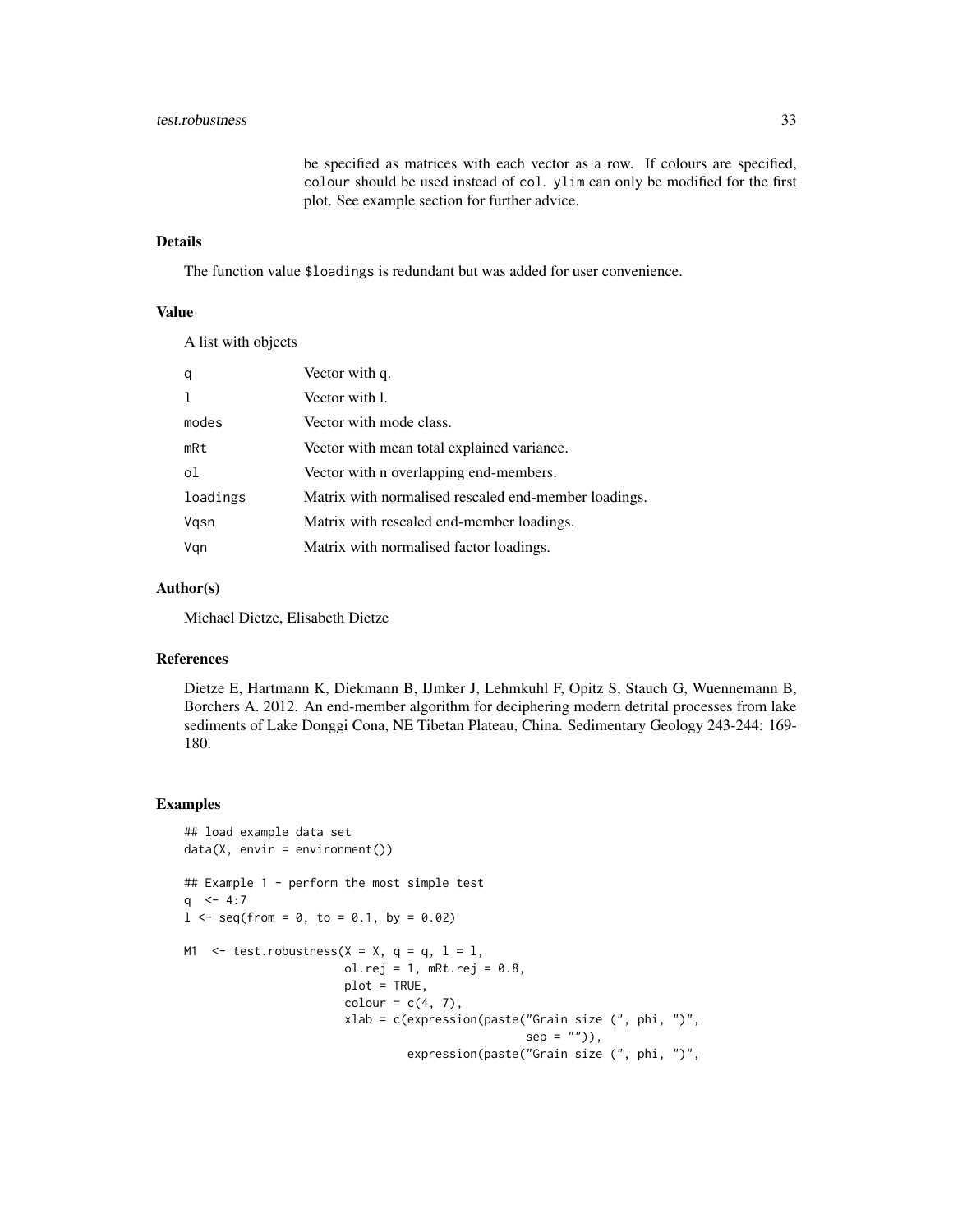# test.robustness 33

be specified as matrices with each vector as a row. If colours are specified, colour should be used instead of col. ylim can only be modified for the first plot. See example section for further advice.

# Details

The function value \$loadings is redundant but was added for user convenience.

# Value

A list with objects

| q        | Vector with q.                                       |
|----------|------------------------------------------------------|
|          | Vector with 1.                                       |
| modes    | Vector with mode class.                              |
| mRt      | Vector with mean total explained variance.           |
| οl       | Vector with n overlapping end-members.               |
| loadings | Matrix with normalised rescaled end-member loadings. |
| Vgsn     | Matrix with rescaled end-member loadings.            |
| Vgn      | Matrix with normalised factor loadings.              |

# Author(s)

Michael Dietze, Elisabeth Dietze

# References

Dietze E, Hartmann K, Diekmann B, IJmker J, Lehmkuhl F, Opitz S, Stauch G, Wuennemann B, Borchers A. 2012. An end-member algorithm for deciphering modern detrital processes from lake sediments of Lake Donggi Cona, NE Tibetan Plateau, China. Sedimentary Geology 243-244: 169- 180.

```
## load example data set
data(X, envir = environment())## Example 1 - perform the most simple test
q \le -4:71 \le - seq(from = 0, to = 0.1, by = 0.02)
M1 \le test.robustness(X = X, q = q, 1 = 1,
                       ol.rej = 1, mRt.rej = 0.8,
                       plot = TRUE,
                       color = c(4, 7),
                       xlab = c(expression(paste("Grain size (", phi, ")",
                                                 sep = ""),
                                expression(paste("Grain size (", phi, ")",
```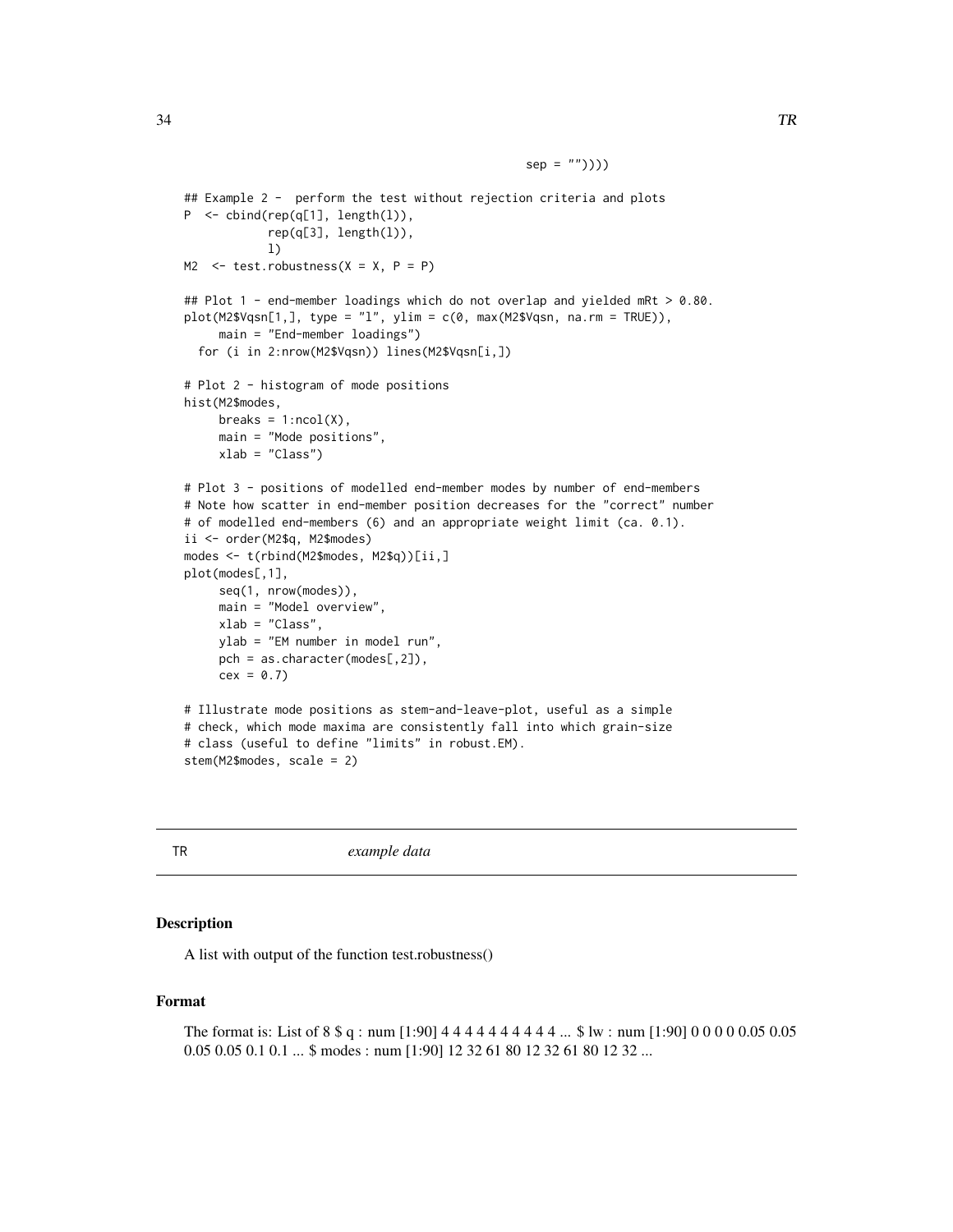```
## Example 2 - perform the test without rejection criteria and plots
P <- cbind(rep(q[1], length(l)),
            rep(q[3], length(l)),
            l)
M2 \le test.robustness(X = X, P = P)
## Plot 1 - end-member loadings which do not overlap and yielded mRt > 0.80.
plot(M2$Vqsn[1,], type = "l", ylim = c(0, max(M2$Vqsn, na.rm = TRUE)),main = "End-member loadings")
  for (i in 2:nrow(M2$Vqsn)) lines(M2$Vqsn[i,])
# Plot 2 - histogram of mode positions
hist(M2$modes,
     breaks = 1:ncol(X),main = "Mode positions",
     xlab = "Class")
# Plot 3 - positions of modelled end-member modes by number of end-members
# Note how scatter in end-member position decreases for the "correct" number
# of modelled end-members (6) and an appropriate weight limit (ca. 0.1).
ii <- order(M2$q, M2$modes)
modes <- t(rbind(M2$modes, M2$q))[ii,]
plot(modes[,1],
     seq(1, nrow(modes)),
     main = "Model overview",
     xlab = "Class",
    ylab = "EM number in model run",
     pch = as.character(modes[,2]),
     cex = 0.7# Illustrate mode positions as stem-and-leave-plot, useful as a simple
# check, which mode maxima are consistently fall into which grain-size
# class (useful to define "limits" in robust.EM).
stem(M2$modes, scale = 2)
```
 $sep = "")))$ 

TR *example data*

# **Description**

A list with output of the function test.robustness()

# Format

The format is: List of 8 \\$ q : num [1:90] 4 4 4 4 4 4 4 4 4 4 4 ... \\$ lw : num [1:90] 0 0 0 0 0.05 0.05 0.05 0.05 0.1 0.1 ... \$ modes : num [1:90] 12 32 61 80 12 32 61 80 12 32 ...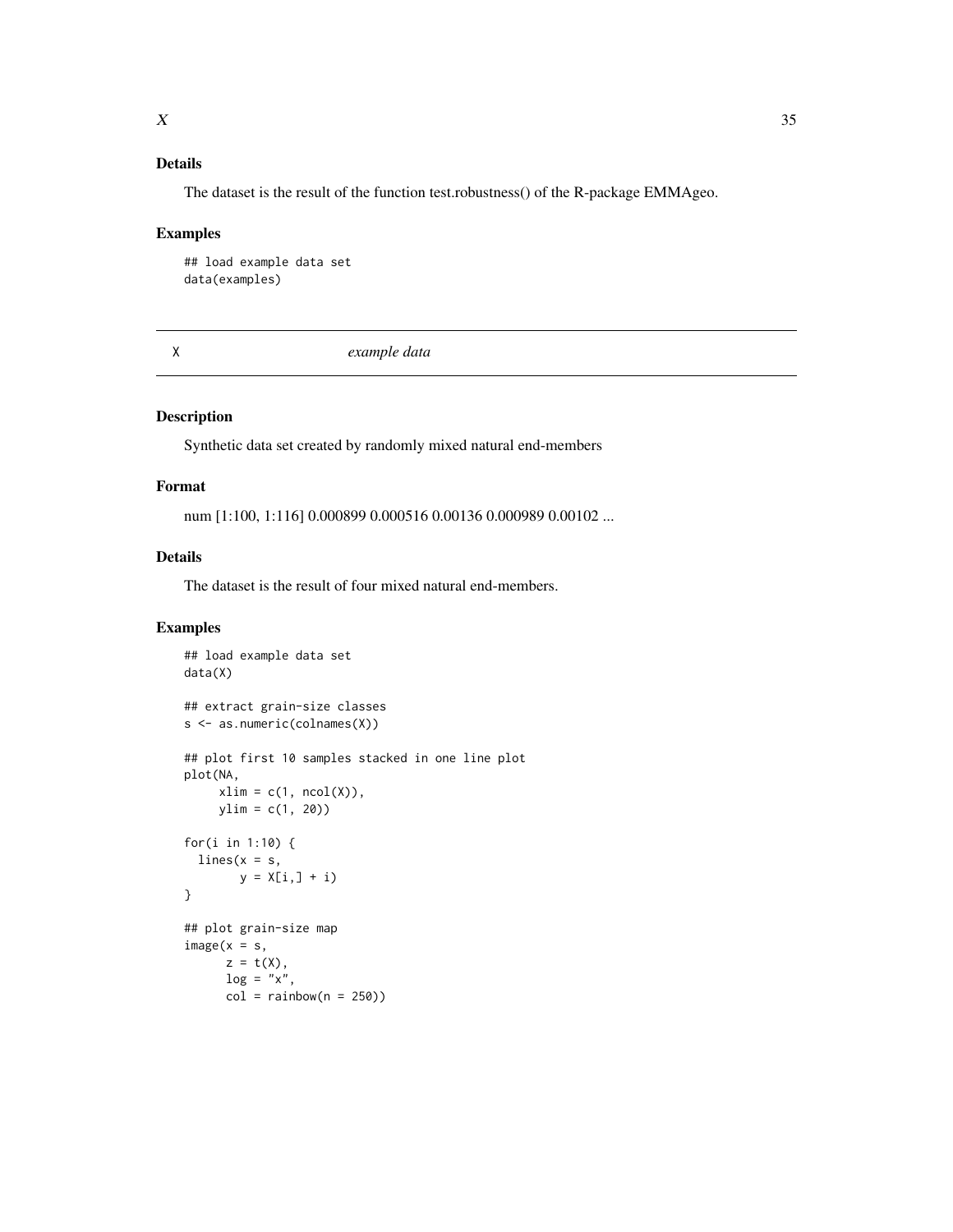# <span id="page-34-0"></span>Details

The dataset is the result of the function test.robustness() of the R-package EMMAgeo.

### Examples

```
## load example data set
data(examples)
```
X *example data*

# Description

Synthetic data set created by randomly mixed natural end-members

# Format

num [1:100, 1:116] 0.000899 0.000516 0.00136 0.000989 0.00102 ...

# Details

The dataset is the result of four mixed natural end-members.

```
## load example data set
data(X)
## extract grain-size classes
s <- as.numeric(colnames(X))
## plot first 10 samples stacked in one line plot
plot(NA,
     xlim = c(1, ncol(X)),ylim = c(1, 20)for(i in 1:10) {
  lines(x = s,y = X[i, j + i)}
## plot grain-size map
image(x = s,z = t(X),
     log = "x",col = rainbow(n = 250)
```